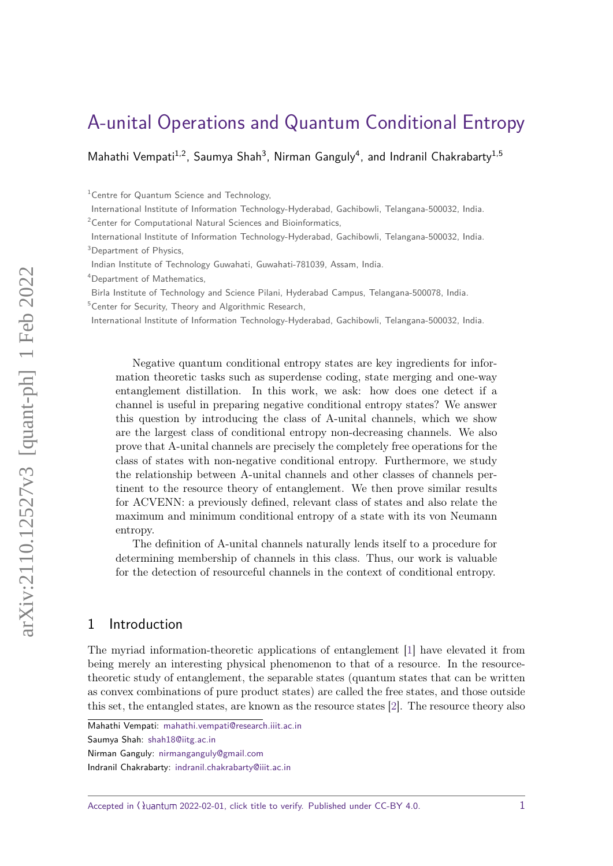# [A-unital Operations and Quantum Conditional Entropy](https://quantum-journal.org/?s=\TitleFont%20A-unital%20Operations%20and%20Quantum%20Conditional%20Entropy&reason=title-click)

Mahathi Vempati<sup>1,2</sup>, Saumya Shah<sup>3</sup>, Nirman Ganguly<sup>4</sup>, and Indranil Chakrabarty<sup>1,5</sup>

<sup>1</sup> Centre for Quantum Science and Technology,

<sup>4</sup>Department of Mathematics,

Birla Institute of Technology and Science Pilani, Hyderabad Campus, Telangana-500078, India. <sup>5</sup>Center for Security, Theory and Algorithmic Research,

International Institute of Information Technology-Hyderabad, Gachibowli, Telangana-500032, India.

Negative quantum conditional entropy states are key ingredients for information theoretic tasks such as superdense coding, state merging and one-way entanglement distillation. In this work, we ask: how does one detect if a channel is useful in preparing negative conditional entropy states? We answer this question by introducing the class of A-unital channels, which we show are the largest class of conditional entropy non-decreasing channels. We also prove that A-unital channels are precisely the completely free operations for the class of states with non-negative conditional entropy. Furthermore, we study the relationship between A-unital channels and other classes of channels pertinent to the resource theory of entanglement. We then prove similar results for ACVENN: a previously defined, relevant class of states and also relate the maximum and minimum conditional entropy of a state with its von Neumann entropy.

The definition of A-unital channels naturally lends itself to a procedure for determining membership of channels in this class. Thus, our work is valuable for the detection of resourceful channels in the context of conditional entropy.

### 1 Introduction

The myriad information-theoretic applications of entanglement [\[1\]](#page-16-0) have elevated it from being merely an interesting physical phenomenon to that of a resource. In the resourcetheoretic study of entanglement, the separable states (quantum states that can be written as convex combinations of pure product states) are called the free states, and those outside this set, the entangled states, are known as the resource states [\[2\]](#page-16-1). The resource theory also

Saumya Shah: [shah18@iitg.ac.in](mailto:shah18@iitg.ac.in)

Indranil Chakrabarty: [indranil.chakrabarty@iiit.ac.in](mailto:indranil.chakrabarty@iiit.ac.in)

Accepted in  $\langle \rangle$ uantum 2022-02-01, click title to verify. Published under CC-BY 4.0.  $1$ 

International Institute of Information Technology-Hyderabad, Gachibowli, Telangana-500032, India. <sup>2</sup>Center for Computational Natural Sciences and Bioinformatics,

International Institute of Information Technology-Hyderabad, Gachibowli, Telangana-500032, India. <sup>3</sup>Department of Physics.

Indian Institute of Technology Guwahati, Guwahati-781039, Assam, India.

Mahathi Vempati: [mahathi.vempati@research.iiit.ac.in](mailto:mahathi.vempati@research.iiit.ac.in)

Nirman Ganguly: [nirmanganguly@gmail.com](mailto:nirmanganguly@gmail.com)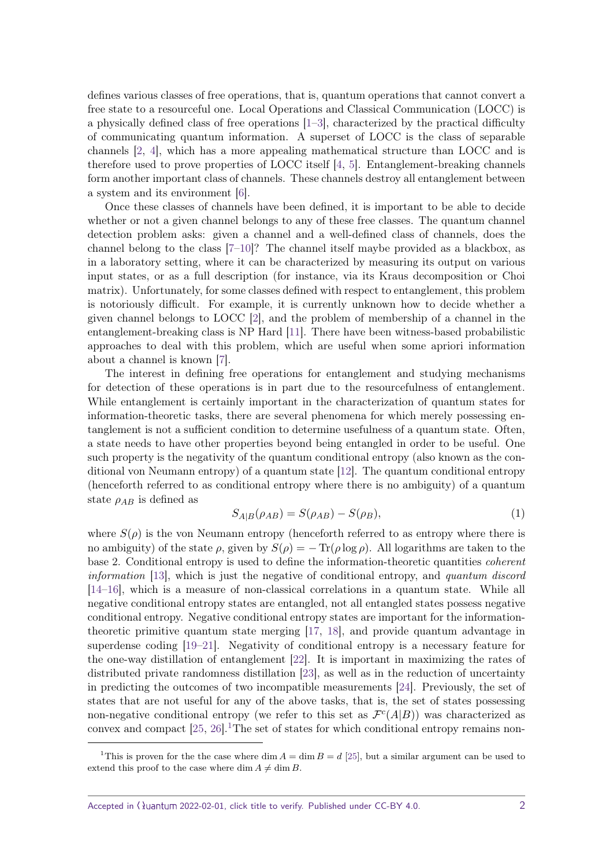defines various classes of free operations, that is, quantum operations that cannot convert a free state to a resourceful one. Local Operations and Classical Communication (LOCC) is a physically defined class of free operations [\[1–](#page-16-0)[3\]](#page-16-2), characterized by the practical difficulty of communicating quantum information. A superset of LOCC is the class of separable channels [\[2,](#page-16-1) [4\]](#page-16-3), which has a more appealing mathematical structure than LOCC and is therefore used to prove properties of LOCC itself [\[4,](#page-16-3) [5\]](#page-16-4). Entanglement-breaking channels form another important class of channels. These channels destroy all entanglement between a system and its environment [\[6\]](#page-16-5).

Once these classes of channels have been defined, it is important to be able to decide whether or not a given channel belongs to any of these free classes. The quantum channel detection problem asks: given a channel and a well-defined class of channels, does the channel belong to the class  $[7-10]$  $[7-10]$ ? The channel itself maybe provided as a blackbox, as in a laboratory setting, where it can be characterized by measuring its output on various input states, or as a full description (for instance, via its Kraus decomposition or Choi matrix). Unfortunately, for some classes defined with respect to entanglement, this problem is notoriously difficult. For example, it is currently unknown how to decide whether a given channel belongs to LOCC [\[2\]](#page-16-1), and the problem of membership of a channel in the entanglement-breaking class is NP Hard [\[11\]](#page-16-8). There have been witness-based probabilistic approaches to deal with this problem, which are useful when some apriori information about a channel is known [\[7\]](#page-16-6).

The interest in defining free operations for entanglement and studying mechanisms for detection of these operations is in part due to the resourcefulness of entanglement. While entanglement is certainly important in the characterization of quantum states for information-theoretic tasks, there are several phenomena for which merely possessing entanglement is not a sufficient condition to determine usefulness of a quantum state. Often, a state needs to have other properties beyond being entangled in order to be useful. One such property is the negativity of the quantum conditional entropy (also known as the conditional von Neumann entropy) of a quantum state [\[12\]](#page-16-9). The quantum conditional entropy (henceforth referred to as conditional entropy where there is no ambiguity) of a quantum state  $\rho_{AB}$  is defined as

<span id="page-1-1"></span>
$$
S_{A|B}(\rho_{AB}) = S(\rho_{AB}) - S(\rho_B),\tag{1}
$$

where  $S(\rho)$  is the von Neumann entropy (henceforth referred to as entropy where there is no ambiguity) of the state *ρ*, given by *S*(*ρ*) = − Tr(*ρ* log *ρ*). All logarithms are taken to the base 2. Conditional entropy is used to define the information-theoretic quantities coherent information [\[13\]](#page-16-10), which is just the negative of conditional entropy, and quantum discord [\[14](#page-16-11)[–16\]](#page-17-0), which is a measure of non-classical correlations in a quantum state. While all negative conditional entropy states are entangled, not all entangled states possess negative conditional entropy. Negative conditional entropy states are important for the informationtheoretic primitive quantum state merging [\[17,](#page-17-1) [18\]](#page-17-2), and provide quantum advantage in superdense coding [\[19–](#page-17-3)[21\]](#page-17-4). Negativity of conditional entropy is a necessary feature for the one-way distillation of entanglement [\[22\]](#page-17-5). It is important in maximizing the rates of distributed private randomness distillation [\[23\]](#page-17-6), as well as in the reduction of uncertainty in predicting the outcomes of two incompatible measurements [\[24\]](#page-17-7). Previously, the set of states that are not useful for any of the above tasks, that is, the set of states possessing non-negative conditional entropy (we refer to this set as  $\mathcal{F}^c(A|B)$ ) was characterized as convex and compact  $[25, 26]$  $[25, 26]$  $[25, 26]$ .<sup>[1](#page-1-0)</sup>The set of states for which conditional entropy remains non-

<span id="page-1-0"></span><sup>&</sup>lt;sup>1</sup>This is proven for the the case where dim  $A = \dim B = d$  [\[25\]](#page-17-8), but a similar argument can be used to extend this proof to the case where dim  $A \neq \dim B$ .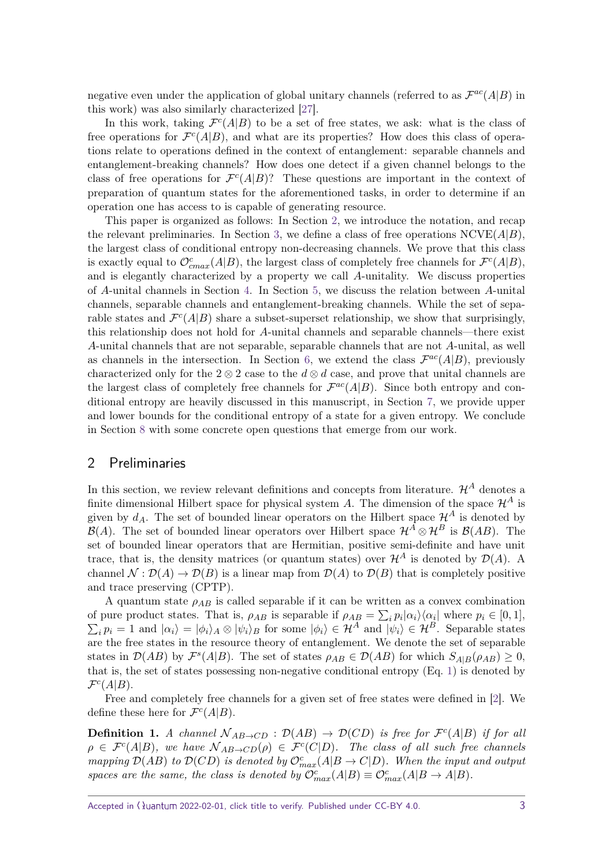negative even under the application of global unitary channels (referred to as  $\mathcal{F}^{ac}(A|B)$  in this work) was also similarly characterized [\[27\]](#page-17-10).

In this work, taking  $\mathcal{F}^c(A|B)$  to be a set of free states, we ask: what is the class of free operations for  $\mathcal{F}^c(A|B)$ , and what are its properties? How does this class of operations relate to operations defined in the context of entanglement: separable channels and entanglement-breaking channels? How does one detect if a given channel belongs to the class of free operations for  $\mathcal{F}^c(A|B)$ ? These questions are important in the context of preparation of quantum states for the aforementioned tasks, in order to determine if an operation one has access to is capable of generating resource.

This paper is organized as follows: In Section [2,](#page-2-0) we introduce the notation, and recap the relevant preliminaries. In Section [3,](#page-3-0) we define a class of free operations NCVE(*A*|*B*), the largest class of conditional entropy non-decreasing channels. We prove that this class is exactly equal to  $\mathcal{O}^c_{cmax}(A|B)$ , the largest class of completely free channels for  $\mathcal{F}^c(A|B)$ , and is elegantly characterized by a property we call *A*-unitality. We discuss properties of *A*-unital channels in Section [4.](#page-7-0) In Section [5,](#page-8-0) we discuss the relation between *A*-unital channels, separable channels and entanglement-breaking channels. While the set of separable states and  $\mathcal{F}^c(A|B)$  share a subset-superset relationship, we show that surprisingly, this relationship does not hold for *A*-unital channels and separable channels—there exist *A*-unital channels that are not separable, separable channels that are not *A*-unital, as well as channels in the intersection. In Section [6,](#page-11-0) we extend the class  $\mathcal{F}^{ac}(A|B)$ , previously characterized only for the  $2 \otimes 2$  case to the  $d \otimes d$  case, and prove that unital channels are the largest class of completely free channels for  $\mathcal{F}^{ac}(A|B)$ . Since both entropy and conditional entropy are heavily discussed in this manuscript, in Section [7,](#page-14-0) we provide upper and lower bounds for the conditional entropy of a state for a given entropy. We conclude in Section [8](#page-15-0) with some concrete open questions that emerge from our work.

### <span id="page-2-0"></span>2 Preliminaries

In this section, we review relevant definitions and concepts from literature.  $\mathcal{H}^A$  denotes a finite dimensional Hilbert space for physical system A. The dimension of the space  $\mathcal{H}^A$  is given by  $d_A$ . The set of bounded linear operators on the Hilbert space  $\mathcal{H}^A$  is denoted by B(A). The set of bounded linear operators over Hilbert space  $\mathcal{H}^A \otimes \mathcal{H}^B$  is  $\mathcal{B}(AB)$ . The set of bounded linear operators that are Hermitian, positive semi-definite and have unit trace, that is, the density matrices (or quantum states) over  $\mathcal{H}^A$  is denoted by  $\mathcal{D}(A)$ . A channel  $\mathcal{N}: \mathcal{D}(A) \to \mathcal{D}(B)$  is a linear map from  $\mathcal{D}(A)$  to  $\mathcal{D}(B)$  that is completely positive and trace preserving (CPTP).

A quantum state  $\rho_{AB}$  is called separable if it can be written as a convex combination of pure product states. That is,  $\rho_{AB}$  is separable if  $\rho_{AB} = \sum_i p_i |\alpha_i\rangle\langle\alpha_i|$  where  $p_i \in [0,1]$ ,  $\sum_i p_i = 1$  and  $|\alpha_i\rangle = |\phi_i\rangle_A \otimes |\psi_i\rangle_B$  for some  $|\phi_i\rangle \in \mathcal{H}^A$  and  $|\psi_i\rangle \in \mathcal{H}^B$ . Separable states are the free states in the resource theory of entanglement. We denote the set of separable states in  $\mathcal{D}(AB)$  by  $\mathcal{F}^s(A|B)$ . The set of states  $\rho_{AB} \in \mathcal{D}(AB)$  for which  $S_{A|B}(\rho_{AB}) \geq 0$ , that is, the set of states possessing non-negative conditional entropy (Eq. [1\)](#page-1-1) is denoted by  $\mathcal{F}^c(A|B)$ .

Free and completely free channels for a given set of free states were defined in [\[2\]](#page-16-1). We define these here for  $\mathcal{F}^c(A|B)$ .

**Definition 1.** *A channel*  $N_{AB\rightarrow CD}$  :  $\mathcal{D}(AB) \rightarrow \mathcal{D}(CD)$  *is free for*  $\mathcal{F}^c(A|B)$  *if for all*  $\rho \in \mathcal{F}^c(A|B)$ , we have  $\mathcal{N}_{AB\to CD}(\rho) \in \mathcal{F}^c(C|D)$ . The class of all such free channels *mapping*  $\mathcal{D}(AB)$  *to*  $\mathcal{D}(CD)$  *is denoted by*  $\mathcal{O}_{max}^c(A|B \to C|D)$ *. When the input and output spaces are the same, the class is denoted by*  $\mathcal{O}_{max}^{c}(A|B) \equiv \mathcal{O}_{max}^{c}(A|B \rightarrow A|B)$ .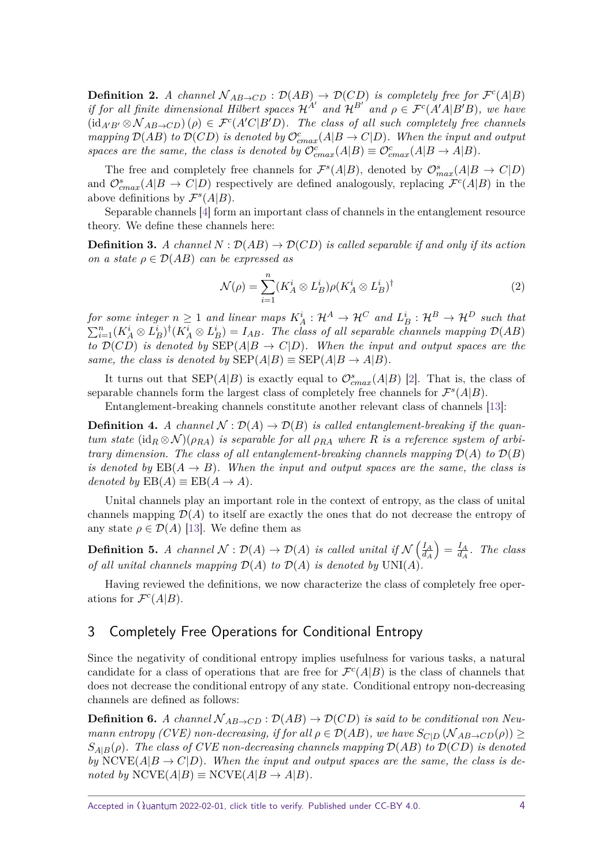<span id="page-3-1"></span>**Definition 2.** *A channel*  $N_{AB\rightarrow CD}$  :  $\mathcal{D}(AB) \rightarrow \mathcal{D}(CD)$  *is completely free for*  $\mathcal{F}^c(A|B)$ *if for all finite dimensional Hilbert spaces*  $\mathcal{H}^{A'}$  and  $\mathcal{H}^{B'}$  and  $\rho \in \mathcal{F}^{c}(A'A|B'B)$ , we have  $(\text{id}_{A'B'} \otimes \mathcal{N}_{AB \to CD}) (\rho) \in \mathcal{F}^c(A'C|B'D)$ *. The class of all such completely free channels mapping*  $\mathcal{D}(AB)$  *to*  $\mathcal{D}(CD)$  *is denoted by*  $\mathcal{O}^c_{cmax}(A|B \to C|D)$ *. When the input and output spaces are the same, the class is denoted by*  $\mathcal{O}^c_{cmax}(A|B) \equiv \mathcal{O}^c_{cmax}(A|B \to A|B)$ .

The free and completely free channels for  $\mathcal{F}^s(A|B)$ , denoted by  $\mathcal{O}_{max}^s(A|B \to C|D)$ and  $\mathcal{O}_{cmax}^s(A|B \to C|D)$  respectively are defined analogously, replacing  $\mathcal{F}^c(A|B)$  in the above definitions by  $\mathcal{F}^s(A|B)$ .

Separable channels [\[4\]](#page-16-3) form an important class of channels in the entanglement resource theory. We define these channels here:

<span id="page-3-2"></span>**Definition 3.** A channel  $N : \mathcal{D}(AB) \to \mathcal{D}(CD)$  is called separable if and only if its action *on a state*  $\rho \in \mathcal{D}(AB)$  *can be expressed as* 

$$
\mathcal{N}(\rho) = \sum_{i=1}^{n} (K_A^i \otimes L_B^i) \rho (K_A^i \otimes L_B^i)^{\dagger} \tag{2}
$$

 $f$ or some integer  $n \geq 1$  and linear maps  $K_A^i: \mathcal{H}^A \to \mathcal{H}^C$  and  $L_B^i: \mathcal{H}^B \to \mathcal{H}^D$  such that  $\sum_{i=1}^{n} (K_A^i \otimes L_B^i)^{\dagger} (K_A^i \otimes L_B^i) = I_{AB}$ . The class of all separable channels mapping  $\mathcal{D}(AB)$ *to*  $\mathcal{D}(CD)$  *is denoted by*  $\text{SEP}(A|B \rightarrow C|D)$ *. When the input and output spaces are the same, the class is denoted by*  $\text{SEP}(A|B) \equiv \text{SEP}(A|B \rightarrow A|B)$ *.* 

It turns out that  $\text{SEP}(A|B)$  is exactly equal to  $\mathcal{O}^s_{cmax}(A|B)$  [\[2\]](#page-16-1). That is, the class of separable channels form the largest class of completely free channels for  $\mathcal{F}^s(A|B)$ .

Entanglement-breaking channels constitute another relevant class of channels [\[13\]](#page-16-10):

<span id="page-3-3"></span>**Definition 4.** *A channel*  $\mathcal{N} : \mathcal{D}(A) \to \mathcal{D}(B)$  *is called entanglement-breaking if the quantum state*  $(id_R \otimes \mathcal{N})(\rho_{RA})$  *is separable for all*  $\rho_{RA}$  *where R is a reference system of arbitrary dimension. The class of all entanglement-breaking channels mapping*  $\mathcal{D}(A)$  *to*  $\mathcal{D}(B)$ *is denoted by*  $EB(A \rightarrow B)$ *. When the input and output spaces are the same, the class is denoted by*  $EB(A) \equiv EB(A \rightarrow A)$ *.* 

Unital channels play an important role in the context of entropy, as the class of unital channels mapping  $\mathcal{D}(A)$  to itself are exactly the ones that do not decrease the entropy of any state  $\rho \in \mathcal{D}(A)$  [\[13\]](#page-16-10). We define them as

<span id="page-3-4"></span>**Definition 5.** *A channel*  $\mathcal{N} : \mathcal{D}(A) \to \mathcal{D}(A)$  *is called unital if*  $\mathcal{N}(\frac{I_A}{I_A})$ *d<sup>A</sup>*  $=$  $\frac{I_A}{d_A}$  $\frac{I_A}{d_A}$ *. The class of all unital channels mapping*  $\mathcal{D}(A)$  *to*  $\mathcal{D}(A)$  *is denoted by*  $UNI(A)$ *.* 

Having reviewed the definitions, we now characterize the class of completely free operations for  $\mathcal{F}^c(A|B)$ .

# <span id="page-3-0"></span>3 Completely Free Operations for Conditional Entropy

Since the negativity of conditional entropy implies usefulness for various tasks, a natural candidate for a class of operations that are free for  $\mathcal{F}^c(A|B)$  is the class of channels that does not decrease the conditional entropy of any state. Conditional entropy non-decreasing channels are defined as follows:

**Definition 6.** *A channel*  $N_{AB\rightarrow CD}$ :  $\mathcal{D}(AB) \rightarrow \mathcal{D}(CD)$  *is said to be conditional von Neumann entropy (CVE) non-decreasing, if for all*  $\rho \in \mathcal{D}(AB)$ *, we have*  $S_{C|D}(\mathcal{N}_{AB\to CD}(\rho)) \ge$  $S_{A|B}(\rho)$ . The class of CVE non-decreasing channels mapping  $\mathcal{D}(AB)$  *to*  $\mathcal{D}(CD)$  *is denoted by* NCVE( $A|B \to C|D$ ). When the input and output spaces are the same, the class is de $noted by NCVE(A|B) \equiv NCVE(A|B \rightarrow A|B)$ .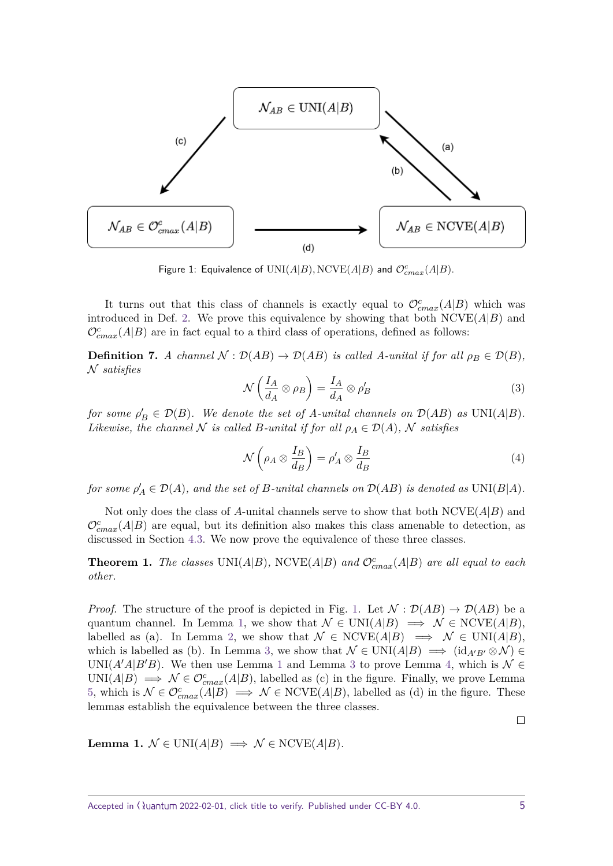<span id="page-4-0"></span>

Figure 1: Equivalence of  $\mathrm{UNI}(A|B), \mathrm{NCVE}(A|B)$  and  $\mathcal{O}^{c}_{cmax}(A|B).$ 

It turns out that this class of channels is exactly equal to  $\mathcal{O}^c_{cmax}(A|B)$  which was introduced in Def. [2.](#page-3-1) We prove this equivalence by showing that both  $NCVE(A|B)$  and  $\mathcal{O}^c_{cmax}(A|B)$  are in fact equal to a third class of operations, defined as follows:

<span id="page-4-3"></span>**Definition 7.** *A channel*  $N : \mathcal{D}(AB) \to \mathcal{D}(AB)$  *is called A-unital if for all*  $\rho_B \in \mathcal{D}(B)$ *,* N *satisfies*

$$
\mathcal{N}\left(\frac{I_A}{d_A} \otimes \rho_B\right) = \frac{I_A}{d_A} \otimes \rho'_B \tag{3}
$$

*for some*  $\rho'_B \in \mathcal{D}(B)$ *. We denote the set of A-unital channels on*  $\mathcal{D}(AB)$  *as*  $UNI(A|B)$ *. Likewise, the channel*  $N$  *is called*  $B$ *-unital if for all*  $\rho_A \in \mathcal{D}(A)$ *,*  $N$  *satisfies* 

$$
\mathcal{N}\left(\rho_A \otimes \frac{I_B}{d_B}\right) = \rho'_A \otimes \frac{I_B}{d_B} \tag{4}
$$

 $f$ or some  $\rho'_{A} \in \mathcal{D}(A)$ , and the set of *B-unital channels on*  $\mathcal{D}(AB)$  *is denoted as*  $\text{UNI}(B|A)$ *.* 

Not only does the class of *A*-unital channels serve to show that both NCVE(*A*|*B*) and  $\mathcal{O}^c_{cmax}(A|B)$  are equal, but its definition also makes this class amenable to detection, as discussed in Section [4.3.](#page-7-1) We now prove the equivalence of these three classes.

<span id="page-4-2"></span>**Theorem 1.** *The classes* UNI( $A|B$ )*,* NCVE( $A|B$ ) *and*  $\mathcal{O}_{cmax}^{c}(A|B)$  *are all equal to each other.*

*Proof.* The structure of the proof is depicted in Fig. [1.](#page-4-0) Let  $\mathcal{N} : \mathcal{D}(AB) \to \mathcal{D}(AB)$  be a quantum channel. In Lemma [1,](#page-4-1) we show that  $\mathcal{N} \in \text{UNI}(A|B) \implies \mathcal{N} \in \text{NCVE}(A|B)$ , labelled as (a). In Lemma [2,](#page-5-0) we show that  $\mathcal{N} \in \text{NCVE}(A|B) \implies \mathcal{N} \in \text{UNI}(A|B)$ , which is labelled as (b). In Lemma [3,](#page-5-1) we show that  $\mathcal{N} \in \text{UNI}(A|B) \implies (\text{id}_{A'B'} \otimes \mathcal{N}) \in$ UNI( $A'A|B'B$ ). We then use Lemma [1](#page-4-1) and Lemma [3](#page-5-1) to prove Lemma [4,](#page-6-0) which is  $\mathcal{N} \in$ UNI( $A|B$ )  $\implies \mathcal{N} \in \mathcal{O}_{cmax}^{c}(A|B)$ , labelled as (c) in the figure. Finally, we prove Lemma [5,](#page-6-1) which is  $\mathcal{N} \in \mathcal{O}_{cmax}^c(A|B) \implies \mathcal{N} \in \text{NCVE}(A|B)$ , labelled as (d) in the figure. These lemmas establish the equivalence between the three classes.

<span id="page-4-1"></span>**Lemma 1.**  $\mathcal{N} \in \text{UNI}(A|B) \implies \mathcal{N} \in \text{NCVE}(A|B)$ .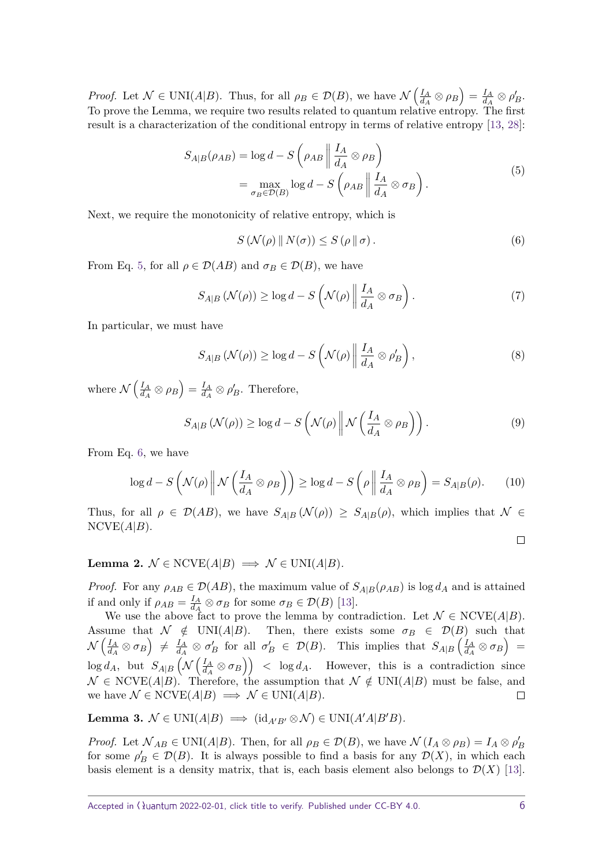*Proof.* Let  $\mathcal{N} \in \text{UNI}(A|B)$ . Thus, for all  $\rho_B \in \mathcal{D}(B)$ , we have  $\mathcal{N}\left(\frac{I_A}{d_A}\right)$  $\left(\frac{I_A}{d_A}\otimes\rho_B\right)=\frac{I_A}{d_A}$  $\frac{I_A}{d_A}\otimes \rho_B'.$ To prove the Lemma, we require two results related to quantum relative entropy. The first result is a characterization of the conditional entropy in terms of relative entropy [\[13,](#page-16-10) [28\]](#page-18-0):

$$
S_{A|B}(\rho_{AB}) = \log d - S\left(\rho_{AB} \middle\| \frac{I_A}{d_A} \otimes \rho_B\right)
$$
  
= 
$$
\max_{\sigma_B \in \mathcal{D}(B)} \log d - S\left(\rho_{AB} \middle\| \frac{I_A}{d_A} \otimes \sigma_B\right).
$$
 (5)

Next, we require the monotonicity of relative entropy, which is

<span id="page-5-3"></span><span id="page-5-2"></span>
$$
S\left(\mathcal{N}(\rho) \parallel N(\sigma)\right) \le S\left(\rho \parallel \sigma\right). \tag{6}
$$

From Eq. [5,](#page-5-2) for all  $\rho \in \mathcal{D}(AB)$  and  $\sigma_B \in \mathcal{D}(B)$ , we have

$$
S_{A|B}(\mathcal{N}(\rho)) \ge \log d - S\left(\mathcal{N}(\rho) \middle| \frac{I_A}{d_A} \otimes \sigma_B\right). \tag{7}
$$

In particular, we must have

$$
S_{A|B}(\mathcal{N}(\rho)) \ge \log d - S\left(\mathcal{N}(\rho) \middle| \frac{I_A}{d_A} \otimes \rho'_B\right),\tag{8}
$$

where  $\mathcal{N}\left(\frac{I_A}{d_A}\right)$  $\left(\frac{I_A}{d_A}\otimes\rho_B\right)=\frac{I_A}{d_A}$  $\frac{I_A}{d_A} \otimes \rho'_B$ . Therefore,

$$
S_{A|B}(\mathcal{N}(\rho)) \ge \log d - S\left(\mathcal{N}(\rho) \,\middle\|\, \mathcal{N}\left(\frac{I_A}{d_A} \otimes \rho_B\right)\right). \tag{9}
$$

From Eq. [6,](#page-5-3) we have

$$
\log d - S\left(\mathcal{N}(\rho)\,\middle|\,\mathcal{N}\left(\frac{I_A}{d_A}\otimes\rho_B\right)\right) \ge \log d - S\left(\rho\,\middle|\,\frac{I_A}{d_A}\otimes\rho_B\right) = S_{A|B}(\rho). \tag{10}
$$

Thus, for all  $\rho \in \mathcal{D}(AB)$ , we have  $S_{A|B}(\mathcal{N}(\rho)) \geq S_{A|B}(\rho)$ , which implies that  $\mathcal{N} \in$  $NCVE(A|B)$ .

 $\Box$ 

<span id="page-5-0"></span>Lemma 2.  $N \in \text{NCVE}(A|B) \implies N \in \text{UNI}(A|B)$ .

*Proof.* For any  $\rho_{AB} \in \mathcal{D}(AB)$ , the maximum value of  $S_{A|B}(\rho_{AB})$  is log  $d_A$  and is attained if and only if  $\rho_{AB} = \frac{I_A}{d_A}$  $\frac{I_A}{d_A} \otimes \sigma_B$  for some  $\sigma_B \in \mathcal{D}(B)$  [\[13\]](#page-16-10).

We use the above fact to prove the lemma by contradiction. Let  $\mathcal{N} \in \text{NCVE}(A|B)$ . Assume that  $\mathcal{N} \notin \text{UNI}(A|B)$ . Then, there exists some  $\sigma_B \in \mathcal{D}(B)$  such that  $\mathcal{N}\left(\frac{I_{A}}{J_{A}}\right)$  $\left(\frac{I_A}{d_A}\otimes \sigma_B\right)\;\ne\; \frac{I_A}{d_A}$  $\frac{I_A}{d_A} \otimes \sigma_B'$  for all  $\sigma_B' \in \mathcal{D}(B)$ . This implies that  $S_{A|B} \left( \frac{I_A}{d_A} \right)$  $\left(\frac{I_A}{d_A}\otimes \sigma_B\right)$  =  $\log d_A$ , but  $S_{A|B}(\mathcal{N}\left(\frac{I_A}{d_A}\right))$  $\left(\frac{I_A}{d_A} \otimes \sigma_B\right)$  > log *d<sub>A</sub>*. However, this is a contradiction since  $\mathcal{N} \in \text{NCVE}(A|B)$ . Therefore, the assumption that  $\mathcal{N} \notin \text{UNI}(A|B)$  must be false, and we have  $\mathcal{N} \in \text{NCVE}(A|B) \implies \mathcal{N} \in \text{UNI}(A|B).$  $\Box$ 

<span id="page-5-1"></span>**Lemma 3.**  $N \in UNI(A|B) \implies (\text{id}_{A'B'} \otimes N) \in UNI(A'A|B'B).$ 

*Proof.* Let  $\mathcal{N}_{AB} \in \text{UNI}(A|B)$ . Then, for all  $\rho_B \in \mathcal{D}(B)$ , we have  $\mathcal{N}(I_A \otimes \rho_B) = I_A \otimes \rho'_B$ for some  $\rho'_B \in \mathcal{D}(B)$ . It is always possible to find a basis for any  $\mathcal{D}(X)$ , in which each basis element is a density matrix, that is, each basis element also belongs to  $\mathcal{D}(X)$  [\[13\]](#page-16-10).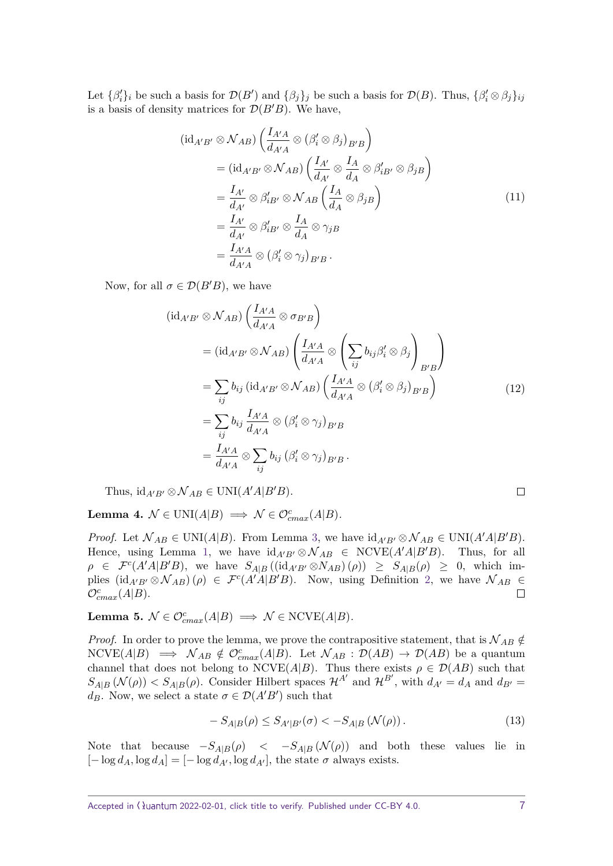Let  $\{\beta'_i\}_i$  be such a basis for  $\mathcal{D}(B')$  and  $\{\beta_j\}_j$  be such a basis for  $\mathcal{D}(B)$ . Thus,  $\{\beta'_i\otimes\beta_j\}_{ij}$ is a basis of density matrices for  $\mathcal{D}(B'B)$ . We have,

$$
(\mathrm{id}_{A'B'} \otimes \mathcal{N}_{AB}) \left( \frac{I_{A'A}}{d_{A'A}} \otimes (\beta_i' \otimes \beta_j)_{B'B} \right)
$$
  
=  $(\mathrm{id}_{A'B'} \otimes \mathcal{N}_{AB}) \left( \frac{I_{A'}}{d_{A'}} \otimes \frac{I_A}{d_A} \otimes \beta_{iB'}' \otimes \beta_j_B \right)$   
=  $\frac{I_{A'}}{d_{A'}} \otimes \beta_{iB'}' \otimes \mathcal{N}_{AB} \left( \frac{I_A}{d_A} \otimes \beta_j_B \right)$   
=  $\frac{I_{A'}}{d_{A'}} \otimes \beta_{iB'}' \otimes \frac{I_A}{d_A} \otimes \gamma_j_B$   
=  $\frac{I_{A'A}}{d_{A'A}} \otimes (\beta_i' \otimes \gamma_j)_{B'B} .$  (11)

Now, for all  $\sigma \in \mathcal{D}(B'B)$ , we have

$$
(\mathrm{id}_{A'B'} \otimes \mathcal{N}_{AB}) \left( \frac{I_{A'A}}{d_{A'A}} \otimes \sigma_{B'B} \right)
$$
  
\n
$$
= (\mathrm{id}_{A'B'} \otimes \mathcal{N}_{AB}) \left( \frac{I_{A'A}}{d_{A'A}} \otimes \left( \sum_{ij} b_{ij} \beta'_i \otimes \beta_j \right)_{B'B} \right)
$$
  
\n
$$
= \sum_{ij} b_{ij} (\mathrm{id}_{A'B'} \otimes \mathcal{N}_{AB}) \left( \frac{I_{A'A}}{d_{A'A}} \otimes (\beta'_i \otimes \beta_j)_{B'B} \right)
$$
  
\n
$$
= \sum_{ij} b_{ij} \frac{I_{A'A}}{d_{A'A}} \otimes (\beta'_i \otimes \gamma_j)_{B'B}
$$
  
\n
$$
= \frac{I_{A'A}}{d_{A'A}} \otimes \sum_{ij} b_{ij} (\beta'_i \otimes \gamma_j)_{B'B}.
$$
  
\n(12)

Thus,  $id_{A'B'} \otimes \mathcal{N}_{AB} \in \text{UNI}(A'A|B'B).$ 

<span id="page-6-0"></span>Lemma 4.  $N \in \text{UNI}(A|B) \implies N \in \mathcal{O}_{cmax}^{c}(A|B)$ .

*Proof.* Let  $\mathcal{N}_{AB} \in \text{UNI}(A|B)$ . From Lemma [3,](#page-5-1) we have  $\text{id}_{A'B'} \otimes \mathcal{N}_{AB} \in \text{UNI}(A'A|B'B)$ . Hence, using Lemma [1,](#page-4-1) we have  $\mathrm{id}_{A'B'} \otimes \mathcal{N}_{AB} \in \mathrm{NCVE}(A'A|B'B)$ . Thus, for all  $\rho \in \mathcal{F}^c(A'A|B'B)$ , we have  $S_{A|B}((id_{A'B'} \otimes N_{AB})(\rho)) \geq S_{A|B}(\rho) \geq 0$ , which implies  $(\mathrm{id}_{A'B'} \otimes \mathcal{N}_{AB})(\rho) \in \mathcal{F}^c(A'A|B'B)$ . Now, using Definition [2,](#page-3-1) we have  $\mathcal{N}_{AB} \in$  $\mathcal{O}_{cmax}^c(A|B)$ .  $\Box$ 

<span id="page-6-1"></span>Lemma 5.  $N \in \mathcal{O}_{cmax}^c(A|B) \implies \mathcal{N} \in \text{NCVE}(A|B)$ .

*Proof.* In order to prove the lemma, we prove the contrapositive statement, that is  $\mathcal{N}_{AB} \notin$  $NCVE(A|B) \implies \mathcal{N}_{AB} \notin \mathcal{O}_{cmax}^{c}(A|B)$ . Let  $\mathcal{N}_{AB} : \mathcal{D}(AB) \to \mathcal{D}(AB)$  be a quantum channel that does not belong to NCVE(*A*|*B*). Thus there exists  $\rho \in \mathcal{D}(AB)$  such that  $S_{A|B}(\mathcal{N}(\rho)) < S_{A|B}(\rho)$ . Consider Hilbert spaces  $\mathcal{H}^{A'}$  and  $\mathcal{H}^{B'}$ , with  $d_{A'} = d_A$  and  $d_{B'} = d_A$ *d<sub>B</sub>*. Now, we select a state  $\sigma \in \mathcal{D}(A'B')$  such that

<span id="page-6-2"></span>
$$
-S_{A|B}(\rho) \le S_{A'|B'}(\sigma) < -S_{A|B}(\mathcal{N}(\rho)).
$$
\n(13)

Note that because  $-S_{A|B}(\rho)$  <  $-S_{A|B}(\mathcal{N}(\rho))$  and both these values lie in  $[-\log d_A, \log d_A] = [-\log d_{A'}, \log d_{A'}],$  the state  $\sigma$  always exists.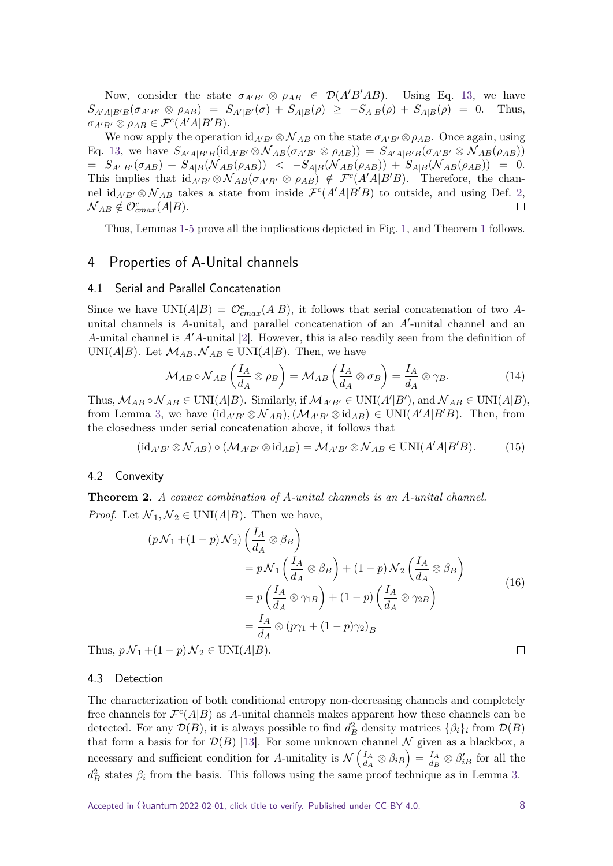Now, consider the state  $\sigma_{A'B'} \otimes \rho_{AB} \in \mathcal{D}(A'B'AB)$ . Using Eq. [13,](#page-6-2) we have  $S_{A'A|B'B}(\sigma_{A'B'} \otimes \rho_{AB}) = S_{A'|B'}(\sigma) + S_{A|B}(\rho) \ge -S_{A|B}(\rho) + S_{A|B}(\rho) = 0.$  Thus,  $\sigma_{A'B'} \otimes \rho_{AB} \in \mathcal{F}^c(A'A|B'B).$ 

We now apply the operation  $id_{A'B'} \otimes \mathcal{N}_{AB}$  on the state  $\sigma_{A'B'} \otimes \rho_{AB}$ . Once again, using Eq. [13,](#page-6-2) we have  $S_{A'AB'B}(\text{id}_{A'B'} \otimes \mathcal{N}_{AB}(\sigma_{A'B'} \otimes \rho_{AB})) = S_{A'A|B'B}(\sigma_{A'B'} \otimes \mathcal{N}_{AB}(\rho_{AB}))$  $= S_{A'|B'}(\sigma_{AB}) + S_{A|B}(\mathcal N_{AB}(\rho_{AB})) \,\, < \,\, - S_{A|B}(\mathcal N_{AB}(\rho_{AB})) \, + \, S_{A|B}(\mathcal N_{AB}(\rho_{AB})) \,\, = \,\, 0.$ This implies that  $\mathrm{id}_{A'B'} \otimes \mathcal{N}_{AB}(\sigma_{A'B'} \otimes \rho_{AB}) \notin \mathcal{F}^c(A'A|B'B)$ . Therefore, the channel id<sub> $A'B' \otimes \mathcal{N}_{AB}$  takes a state from inside  $\mathcal{F}^c(A'A|B'B)$  to outside, and using Def. [2,](#page-3-1)</sub>  $\mathcal{N}_{AB} \notin \mathcal{O}_{cmax}^{c}(A|B).$  $\Box$ 

Thus, Lemmas [1](#page-4-1)[-5](#page-6-1) prove all the implications depicted in Fig. [1,](#page-4-0) and Theorem [1](#page-4-2) follows.

### <span id="page-7-0"></span>4 Properties of A-Unital channels

#### 4.1 Serial and Parallel Concatenation

Since we have  $UNI(A|B) = \mathcal{O}_{cmax}^{c}(A|B)$ , it follows that serial concatenation of two *A*unital channels is  $A$ -unital, and parallel concatenation of an  $A'$ -unital channel and an *A*-unital channel is  $A'A$ -unital [\[2\]](#page-16-1). However, this is also readily seen from the definition of UNI( $A|B$ ). Let  $\mathcal{M}_{AB}$ ,  $\mathcal{N}_{AB} \in \text{UNI}(A|B)$ . Then, we have

$$
\mathcal{M}_{AB} \circ \mathcal{N}_{AB} \left( \frac{I_A}{d_A} \otimes \rho_B \right) = \mathcal{M}_{AB} \left( \frac{I_A}{d_A} \otimes \sigma_B \right) = \frac{I_A}{d_A} \otimes \gamma_B. \tag{14}
$$

Thus,  $M_{AB} \circ \mathcal{N}_{AB} \in \text{UNI}(A|B)$ . Similarly, if  $\mathcal{M}_{A'B'} \in \text{UNI}(A'|B')$ , and  $\mathcal{N}_{AB} \in \text{UNI}(A|B)$ , from Lemma [3,](#page-5-1) we have  $(id_{A'B'} \otimes \mathcal{N}_{AB})$ ,  $(\mathcal{M}_{A'B'} \otimes id_{AB}) \in \text{UNI}(A'A|B'B)$ . Then, from the closedness under serial concatenation above, it follows that

$$
(\mathrm{id}_{A'B'} \otimes \mathcal{N}_{AB}) \circ (\mathcal{M}_{A'B'} \otimes \mathrm{id}_{AB}) = \mathcal{M}_{A'B'} \otimes \mathcal{N}_{AB} \in \mathrm{UNI}(A'A|B'B). \tag{15}
$$

#### 4.2 Convexity

**Theorem 2.** *A convex combination of A-unital channels is an A-unital channel. Proof.* Let  $\mathcal{N}_1, \mathcal{N}_2 \in \text{UNI}(A|B)$ . Then we have,

$$
(p\mathcal{N}_1 + (1-p)\mathcal{N}_2) \left(\frac{I_A}{d_A} \otimes \beta_B\right)
$$
  
\n
$$
= p\mathcal{N}_1 \left(\frac{I_A}{d_A} \otimes \beta_B\right) + (1-p)\mathcal{N}_2 \left(\frac{I_A}{d_A} \otimes \beta_B\right)
$$
  
\n
$$
= p\left(\frac{I_A}{d_A} \otimes \gamma_{1B}\right) + (1-p)\left(\frac{I_A}{d_A} \otimes \gamma_{2B}\right)
$$
  
\n
$$
= \frac{I_A}{d_A} \otimes (p\gamma_1 + (1-p)\gamma_2)_B
$$
  
\n
$$
+ (1-p)\mathcal{N}_2 \in \text{UNI}(A|B).
$$

Thus,  $p\mathcal{N}_1 + (1-p)\mathcal{N}_2 \in \text{UNI}(A|B)$ .

#### <span id="page-7-1"></span>4.3 Detection

The characterization of both conditional entropy non-decreasing channels and completely free channels for  $\mathcal{F}^c(A|B)$  as A-unital channels makes apparent how these channels can be detected. For any  $\mathcal{D}(B)$ , it is always possible to find  $d_B^2$  density matrices  $\{\beta_i\}_i$  from  $\mathcal{D}(B)$ that form a basis for for  $\mathcal{D}(B)$  [\[13\]](#page-16-10). For some unknown channel N given as a blackbox, a necessary and sufficient condition for *A*-unitality is  $\mathcal{N}\left(\frac{I_A}{I_A}\right)$  $\left(\frac{I_A}{d_A}\otimes \beta_{iB}\right)=\frac{I_A}{d_B}$  $\frac{I_A}{d_B} \otimes \beta'_{iB}$  for all the  $d_B^2$  states  $\beta_i$  from the basis. This follows using the same proof technique as in Lemma [3.](#page-5-1)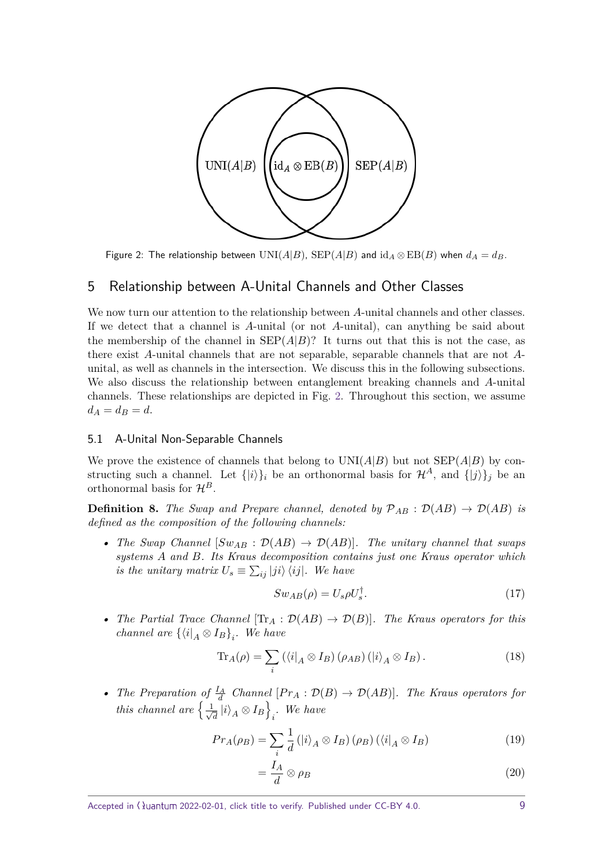<span id="page-8-1"></span>

Figure 2: The relationship between  $UNI(A|B)$ ,  $SEP(A|B)$  and  $id_A \otimes EB(B)$  when  $d_A = d_B$ .

# <span id="page-8-0"></span>5 Relationship between A-Unital Channels and Other Classes

We now turn our attention to the relationship between *A*-unital channels and other classes. If we detect that a channel is *A*-unital (or not *A*-unital), can anything be said about the membership of the channel in  $\text{SEP}(A|B)$ ? It turns out that this is not the case, as there exist *A*-unital channels that are not separable, separable channels that are not *A*unital, as well as channels in the intersection. We discuss this in the following subsections. We also discuss the relationship between entanglement breaking channels and *A*-unital channels. These relationships are depicted in Fig. [2.](#page-8-1) Throughout this section, we assume  $d_A = d_B = d$ .

#### 5.1 A-Unital Non-Separable Channels

We prove the existence of channels that belong to  $UNI(A|B)$  but not  $SEP(A|B)$  by constructing such a channel. Let  $\{|i\rangle\}_i$  be an orthonormal basis for  $\mathcal{H}^A$ , and  $\{|j\rangle\}_i$  be an orthonormal basis for  $\mathcal{H}^B$ .

**Definition 8.** *The Swap and Prepare channel, denoted by*  $\mathcal{P}_{AB}$  :  $\mathcal{D}(AB) \rightarrow \mathcal{D}(AB)$  *is defined as the composition of the following channels:*

• *The Swap Channel*  $[Sw_{AB} : \mathcal{D}(AB) \to \mathcal{D}(AB)]$ *. The unitary channel that swaps systems A and B. Its Kraus decomposition contains just one Kraus operator which is the unitary matrix*  $U_s \equiv \sum_{ij} |ji\rangle \langle ij|$ *. We have* 

$$
Sw_{AB}(\rho) = U_s \rho U_s^{\dagger}.
$$
\n(17)

• *The Partial Trace Channel*  $[\text{Tr}_A : \mathcal{D}(AB) \to \mathcal{D}(B)]$ *. The Kraus operators for this channel are*  $\{\langle i|_A \otimes I_B\}_i$ *. We have* 

$$
\text{Tr}_A(\rho) = \sum_i \left( \langle i|_A \otimes I_B \right) (\rho_{AB}) \left( |i \rangle_A \otimes I_B \right). \tag{18}
$$

• *The Preparation of*  $\frac{I_A}{d}$  *Channel*  $[Pr_A : \mathcal{D}(B) \to \mathcal{D}(AB)]$ *. The Kraus operators for this channel are*  $\frac{1}{\sqrt{2}}$  $\frac{1}{d}\ket{i}_A\otimes I_B\Big\}$ *i . We have*

$$
Pr_A(\rho_B) = \sum_{i} \frac{1}{d} \left( |i\rangle_A \otimes I_B \right) (\rho_B) \left( \langle i|_A \otimes I_B \right) \tag{19}
$$

$$
=\frac{I_A}{d}\otimes\rho_B\tag{20}
$$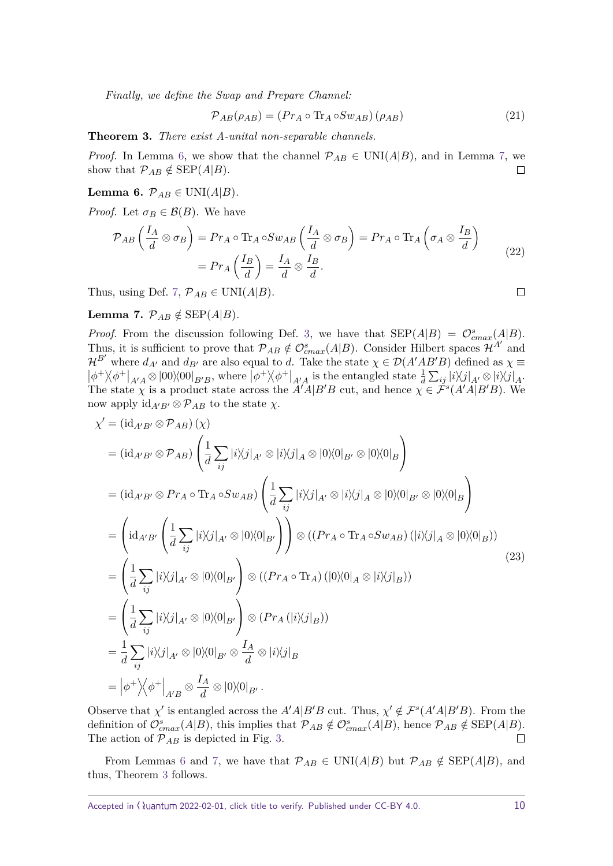*Finally, we define the Swap and Prepare Channel:*

$$
\mathcal{P}_{AB}(\rho_{AB}) = (Pr_A \circ \text{Tr}_A \circ Sw_{AB})(\rho_{AB})
$$
\n(21)

<span id="page-9-2"></span>**Theorem 3.** *There exist A-unital non-separable channels.*

*Proof.* In Lemma [6,](#page-9-0) we show that the channel  $\mathcal{P}_{AB} \in \text{UNI}(A|B)$ , and in Lemma [7,](#page-9-1) we show that  $\mathcal{P}_{AB} \notin \text{SEP}(A|B)$ .  $\Box$ 

<span id="page-9-0"></span>**Lemma 6.**  $\mathcal{P}_{AB} \in \text{UNI}(A|B)$ .

*Proof.* Let  $\sigma_B \in \mathcal{B}(B)$ . We have

$$
\mathcal{P}_{AB}\left(\frac{I_A}{d}\otimes\sigma_B\right) = Pr_A \circ \text{Tr}_A \circ Sw_{AB}\left(\frac{I_A}{d}\otimes\sigma_B\right) = Pr_A \circ \text{Tr}_A\left(\sigma_A \otimes \frac{I_B}{d}\right)
$$

$$
= Pr_A\left(\frac{I_B}{d}\right) = \frac{I_A}{d}\otimes\frac{I_B}{d}.
$$
(22)

Thus, using Def. [7,](#page-4-3)  $\mathcal{P}_{AB} \in \text{UNI}(A|B)$ .

<span id="page-9-1"></span>**Lemma 7.**  $\mathcal{P}_{AB} \notin \text{SEP}(A|B)$ .

*Proof.* From the discussion following Def. [3,](#page-3-2) we have that  $\text{SEP}(A|B) = \mathcal{O}_{cmax}^s(A|B)$ . Thus, it is sufficient to prove that  $\mathcal{P}_{AB} \notin \mathcal{O}_{cmax}^s(A|B)$ . Consider Hilbert spaces  $\mathcal{H}^{A'}$  and  $\mathcal{H}^{B'}$  where  $d_{A'}$  and  $d_{B'}$  are also equal to *d*. Take the state  $\chi \in \mathcal{D}(A'AB'B)$  defined as  $\chi \equiv$  $|\phi^+\rangle\langle\phi^+|_{A'A}\otimes|00\rangle\langle00|_{B'B}$ , where  $|\phi^+\rangle\langle\phi^+|_{A'A}$  is the entangled state  $\frac{1}{d}\sum_{ij}|i\rangle\langle j|_{A'}\otimes|i\rangle\langle j|_{A}$ . The state  $\chi$  is a product state across the  $A'A|B'B$  cut, and hence  $\chi \in \tilde{\mathcal{F}}^s(A'A|B'B)$ . We now apply  $\mathrm{id}_{A'B'} \otimes \mathcal{P}_{AB}$  to the state  $\chi$ .

$$
\chi' = (\mathrm{id}_{A'B'} \otimes \mathcal{P}_{AB})(\chi)
$$
  
\n
$$
= (\mathrm{id}_{A'B'} \otimes \mathcal{P}_{AB}) \left( \frac{1}{d} \sum_{ij} |i \rangle \langle j|_{A'} \otimes |i \rangle \langle j|_{A} \otimes |0 \rangle \langle 0|_{B'} \otimes |0 \rangle \langle 0|_{B} \right)
$$
  
\n
$$
= (\mathrm{id}_{A'B'} \otimes \mathcal{P}_{TA} \circ \mathrm{Tr}_{A} \circ \mathcal{S}w_{AB}) \left( \frac{1}{d} \sum_{ij} |i \rangle \langle j|_{A'} \otimes |i \rangle \langle j|_{A} \otimes |0 \rangle \langle 0|_{B'} \otimes |0 \rangle \langle 0|_{B} \right)
$$
  
\n
$$
= \left( \mathrm{id}_{A'B'} \left( \frac{1}{d} \sum_{ij} |i \rangle \langle j|_{A'} \otimes |0 \rangle \langle 0|_{B'} \right) \right) \otimes ((\mathcal{P}_{TA} \circ \mathrm{Tr}_{A} \circ \mathcal{S}w_{AB}) (|i \rangle \langle j|_{A} \otimes |0 \rangle \langle 0|_{B}))
$$
  
\n
$$
= \left( \frac{1}{d} \sum_{ij} |i \rangle \langle j|_{A'} \otimes |0 \rangle \langle 0|_{B'} \right) \otimes ((\mathcal{P}_{TA} \circ \mathrm{Tr}_{A}) (|0 \rangle \langle 0|_{A} \otimes |i \rangle \langle j|_{B}))
$$
  
\n
$$
= \left( \frac{1}{d} \sum_{ij} |i \rangle \langle j|_{A'} \otimes |0 \rangle \langle 0|_{B'} \right) \otimes (\mathcal{P}_{TA} (|i \rangle \langle j|_{B}))
$$
  
\n
$$
= \frac{1}{d} \sum_{ij} |i \rangle \langle j|_{A'} \otimes |0 \rangle \langle 0|_{B'} \otimes \frac{I_A}{d} \otimes |i \rangle \langle j|_{B}
$$
  
\n
$$
= |\phi^{+} \rangle \langle \phi^{+} |_{A'B} \otimes \frac{I_A}{d} \otimes |0 \rangle \langle 0|_{B'}.
$$
 (9)

Observe that *χ*<sup>'</sup> is entangled across the *A'A*|*B'B* cut. Thus,  $\chi' \notin \mathcal{F}^s(A'A|B'B)$ . From the definition of  $\mathcal{O}^s_{cmax}(A|B)$ , this implies that  $\mathcal{P}_{AB} \notin \mathcal{O}^s_{cmax}(A|B)$ , hence  $\mathcal{P}_{AB} \notin \text{SEP}(A|B)$ . The action of  $\mathcal{P}_{AB}$  is depicted in Fig. [3.](#page-10-0)

From Lemmas [6](#page-9-0) and [7,](#page-9-1) we have that  $\mathcal{P}_{AB} \in \text{UNI}(A|B)$  but  $\mathcal{P}_{AB} \notin \text{SEP}(A|B)$ , and thus, Theorem [3](#page-9-2) follows.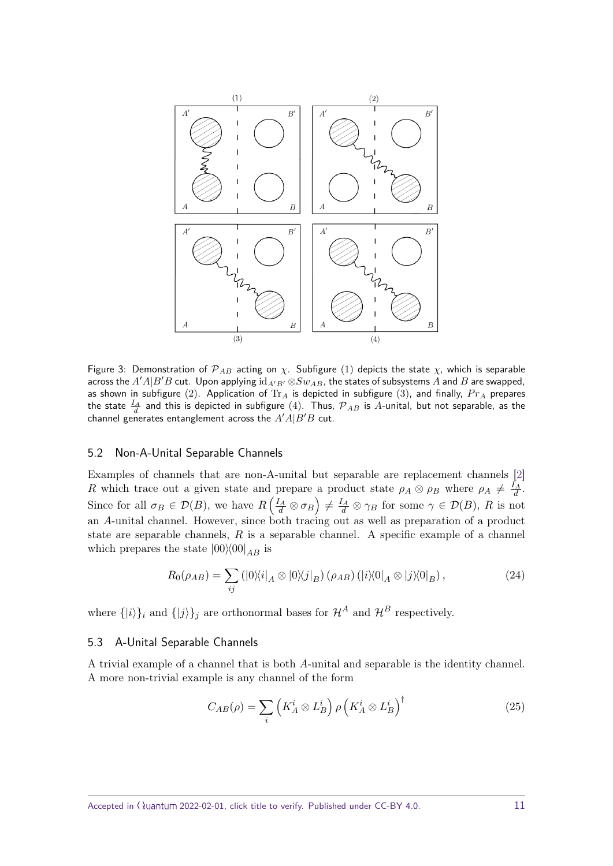<span id="page-10-0"></span>

Figure 3: Demonstration of  $\mathcal{P}_{AB}$  acting on  $\chi$ . Subfigure (1) depicts the state  $\chi$ , which is separable across the  $A'A|B'B$  cut. Upon applying  $id_{A'B'} \otimes Sw_{AB}$ , the states of subsystems  $A$  and  $B$  are swapped, as shown in subfigure (2). Application of  $Tr_A$  is depicted in subfigure (3), and finally,  $Pr_A$  prepares the state  $\frac{I_A}{d}$  and this is depicted in subfigure  $(4)$ . Thus,  ${\cal P}_{AB}$  is  $A$ -unital, but not separable, as the channel generates entanglement across the  $A'A|B'B$  cut.

#### 5.2 Non-A-Unital Separable Channels

Examples of channels that are non-A-unital but separable are replacement channels [\[2\]](#page-16-1) *R* which trace out a given state and prepare a product state  $\rho_A \otimes \rho_B$  where  $\rho_A \neq \frac{I_A}{d}$ . Since for all  $\sigma_B \in \mathcal{D}(B)$ , we have  $R\left(\frac{I_A}{d} \otimes \sigma_B\right) \neq \frac{I_A}{d} \otimes \gamma_B$  for some  $\gamma \in \mathcal{D}(B)$ , R is not an *A*-unital channel. However, since both tracing out as well as preparation of a product state are separable channels, *R* is a separable channel. A specific example of a channel which prepares the state  $|00\rangle\langle00|_{AB}$  is

$$
R_0(\rho_{AB}) = \sum_{ij} (|0\rangle\langle i|_A \otimes |0\rangle\langle j|_B) (\rho_{AB}) (|i\rangle\langle 0|_A \otimes |j\rangle\langle 0|_B), \qquad (24)
$$

where  $\{|i\rangle\}_i$  and  $\{|j\rangle\}_j$  are orthonormal bases for  $\mathcal{H}^A$  and  $\mathcal{H}^B$  respectively.

#### 5.3 A-Unital Separable Channels

A trivial example of a channel that is both *A*-unital and separable is the identity channel. A more non-trivial example is any channel of the form

$$
C_{AB}(\rho) = \sum_{i} \left( K_A^i \otimes L_B^i \right) \rho \left( K_A^i \otimes L_B^i \right)^{\dagger} \tag{25}
$$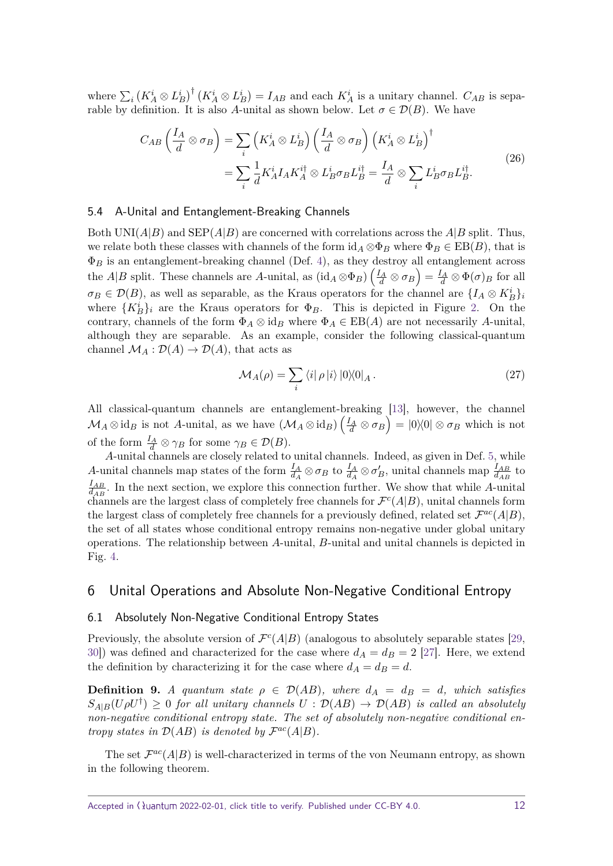where  $\sum_i (K_A^i \otimes L_B^i)^{\dagger} (K_A^i \otimes L_B^i) = I_{AB}$  and each  $K_A^i$  is a unitary channel.  $C_{AB}$  is separable by definition. It is also A-unital as shown below. Let  $\sigma \in \mathcal{D}(B)$ . We have

$$
C_{AB} \left( \frac{I_A}{d} \otimes \sigma_B \right) = \sum_i \left( K_A^i \otimes L_B^i \right) \left( \frac{I_A}{d} \otimes \sigma_B \right) \left( K_A^i \otimes L_B^i \right)^{\dagger} = \sum_i \frac{1}{d} K_A^i I_A K_A^{i\dagger} \otimes L_B^i \sigma_B L_B^{i\dagger} = \frac{I_A}{d} \otimes \sum_i L_B^i \sigma_B L_B^{i\dagger}.
$$
 (26)

#### 5.4 A-Unital and Entanglement-Breaking Channels

Both UNI( $A|B$ ) and SEP( $A|B$ ) are concerned with correlations across the  $A|B$  split. Thus, we relate both these classes with channels of the form  $\mathrm{id}_A \otimes \Phi_B$  where  $\Phi_B \in \mathrm{EB}(B)$ , that is  $\Phi_B$  is an entanglement-breaking channel (Def. [4\)](#page-3-3), as they destroy all entanglement across the *A*|*B* split. These channels are *A*-unital, as  $(\mathrm{id}_A \otimes \Phi_B) \left( \frac{I_A}{d} \otimes \sigma_B \right) = \frac{I_A}{d} \otimes \Phi(\sigma)_B$  for all  $\sigma_B \in \mathcal{D}(B)$ , as well as separable, as the Kraus operators for the channel are  $\{I_A \otimes K_B^i\}_i$ where  $\{K_B^i\}_i$  are the Kraus operators for  $\Phi_B$ . This is depicted in Figure [2.](#page-8-1) On the contrary, channels of the form  $\Phi_A \otimes id_B$  where  $\Phi_A \in EB(A)$  are not necessarily *A*-unital, although they are separable. As an example, consider the following classical-quantum channel  $\mathcal{M}_A : \mathcal{D}(A) \to \mathcal{D}(A)$ , that acts as

$$
\mathcal{M}_A(\rho) = \sum_i \langle i | \rho | i \rangle |0 \rangle \langle 0|_A. \tag{27}
$$

All classical-quantum channels are entanglement-breaking [\[13\]](#page-16-10), however, the channel  $\mathcal{M}_A \otimes \text{id}_B$  is not *A*-unital, as we have  $(\mathcal{M}_A \otimes \text{id}_B) \left(\frac{I_A}{d} \otimes \sigma_B\right) = |0\rangle\langle 0| \otimes \sigma_B$  which is not of the form  $\frac{I_A}{d} \otimes \gamma_B$  for some  $\gamma_B \in \mathcal{D}(B)$ .

*A*-unital channels are closely related to unital channels. Indeed, as given in Def. [5,](#page-3-4) while *A*-unital channels map states of the form  $\frac{I_A}{d_A} \otimes \sigma_B$  to  $\frac{I_A}{d_A} \otimes \sigma'_B$ , unital channels map  $\frac{I_{AB}}{d_{AB}}$  to *IAB*  $\frac{H_{AB}}{d_{AB}}$ . In the next section, we explore this connection further. We show that while *A*-unital channels are the largest class of completely free channels for  $\mathcal{F}^c(A|B)$ , unital channels form the largest class of completely free channels for a previously defined, related set  $\mathcal{F}^{ac}(A|B)$ , the set of all states whose conditional entropy remains non-negative under global unitary operations. The relationship between *A*-unital, *B*-unital and unital channels is depicted in Fig. [4.](#page-12-0)

# <span id="page-11-0"></span>6 Unital Operations and Absolute Non-Negative Conditional Entropy

#### 6.1 Absolutely Non-Negative Conditional Entropy States

Previously, the absolute version of  $\mathcal{F}^c(A|B)$  (analogous to absolutely separable states [\[29,](#page-18-1) 30) was defined and characterized for the case where  $d_A = d_B = 2$  [\[27\]](#page-17-10). Here, we extend the definition by characterizing it for the case where  $d_A = d_B = d$ .

**Definition 9.** *A* quantum state  $\rho \in \mathcal{D}(AB)$ , where  $d_A = d_B = d$ , which satisfies  $S_{A|B}(U\rho U^{\dagger}) \geq 0$  *for all unitary channels*  $U : \mathcal{D}(AB) \rightarrow \mathcal{D}(AB)$  *is called an absolutely non-negative conditional entropy state. The set of absolutely non-negative conditional entropy states in*  $\mathcal{D}(AB)$  *is denoted by*  $\mathcal{F}^{ac}(A|B)$ *.* 

The set  $\mathcal{F}^{ac}(A|B)$  is well-characterized in terms of the von Neumann entropy, as shown in the following theorem.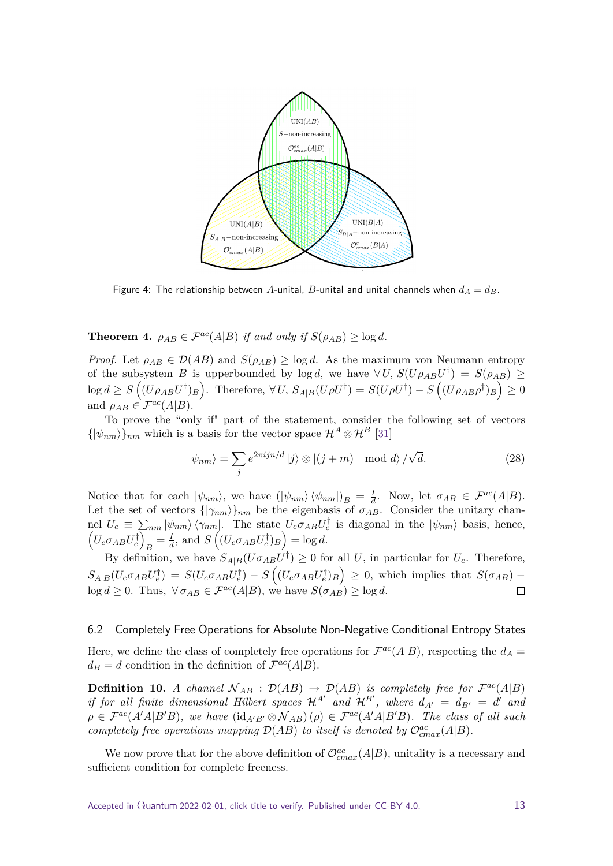<span id="page-12-0"></span>

Figure 4: The relationship between A-unital, B-unital and unital channels when  $d_A = d_B$ .

<span id="page-12-1"></span>**Theorem 4.**  $\rho_{AB} \in \mathcal{F}^{ac}(A|B)$  *if and only if*  $S(\rho_{AB}) \ge \log d$ *.* 

*Proof.* Let  $\rho_{AB} \in \mathcal{D}(AB)$  and  $S(\rho_{AB}) \geq \log d$ . As the maximum von Neumann entropy of the subsystem *B* is upperbounded by  $\log d$ , we have  $\forall U$ ,  $S(U\rho_{AB}U^{\dagger}) = S(\rho_{AB}) \ge$  $\log d \geq S\left((U\rho_{AB}U^{\dagger})_B\right)$ . Therefore,  $\forall U$ ,  $S_{A|B}(U\rho U^{\dagger}) = S(U\rho U^{\dagger}) - S\left((U\rho_{AB}\rho^{\dagger})_B\right) \geq 0$ and  $\rho_{AB} \in \mathcal{F}^{ac}(A|B)$ .

To prove the "only if" part of the statement, consider the following set of vectors  $\{|\psi_{nm}\rangle\}_{nm}$  which is a basis for the vector space  $\mathcal{H}^A \otimes \mathcal{H}^B$  [\[31\]](#page-18-3)

$$
|\psi_{nm}\rangle = \sum_{j} e^{2\pi i j n/d} |j\rangle \otimes |(j+m) \mod d\rangle / \sqrt{d}.
$$
 (28)

Notice that for each  $|\psi_{nm}\rangle$ , we have  $(|\psi_{nm}\rangle \langle \psi_{nm}|)B = \frac{1}{a}$  $\frac{I}{d}$ . Now, let  $\sigma_{AB} \in \mathcal{F}^{ac}(A|B)$ . Let the set of vectors  $\{\ket{\gamma_{nm}}\}$  be the eigenbasis of  $\sigma_{AB}$ . Consider the unitary channel  $U_e \equiv \sum_{nm} |\psi_{nm}\rangle \langle \gamma_{nm}|$ . The state  $U_e \sigma_{AB} U_e^{\dagger}$  is diagonal in the  $|\psi_{nm}\rangle$  basis, hence,  $(U_e \sigma_{AB} U_e^{\dagger})$  $B = \frac{I}{d}$  $\frac{I}{d}$ , and  $S\left((U_e \sigma_{AB} U_e^{\dagger})_B\right) = \log d$ .

By definition, we have  $S_{A|B}(U\sigma_{AB}U^{\dagger}) \geq 0$  for all *U*, in particular for  $U_e$ . Therefore,  $S_{A|B}(U_e \sigma_{AB} U_e^{\dagger}) = S(U_e \sigma_{AB} U_e^{\dagger}) - S((U_e \sigma_{AB} U_e^{\dagger})_B) \geq 0$ , which implies that  $S(\sigma_{AB})$  $\log d \geq 0$ . Thus,  $\forall \sigma_{AB} \in \mathcal{F}^{ac}(A|B)$ , we have  $S(\sigma_{AB}) \geq \log d$ .  $\Box$ 

#### 6.2 Completely Free Operations for Absolute Non-Negative Conditional Entropy States

Here, we define the class of completely free operations for  $\mathcal{F}^{ac}(A|B)$ , respecting the  $d_A =$  $d_B = d$  condition in the definition of  $\mathcal{F}^{ac}(A|B)$ .

**Definition 10.** *A channel*  $\mathcal{N}_{AB}$  :  $\mathcal{D}(AB)$   $\rightarrow$   $\mathcal{D}(AB)$  *is completely free for*  $\mathcal{F}^{ac}(A|B)$ *if for all finite dimensional Hilbert spaces*  $\mathcal{H}^{A'}$  and  $\mathcal{H}^{B'}$ , where  $d_{A'} = d_{B'} = d'$  and  $\rho \in \mathcal{F}^{ac}(A'A|B'B)$ *, we have*  $(\text{id}_{A'B'} \otimes \mathcal{N}_{AB})(\rho) \in \mathcal{F}^{ac}(A'A|B'B)$ *. The class of all such completely free operations mapping*  $\mathcal{D}(AB)$  *to itself is denoted by*  $\mathcal{O}^{ac}_{cmax}(A|B)$ *.* 

We now prove that for the above definition of  $\mathcal{O}^{ac}_{cmax}(A|B)$ , unitality is a necessary and sufficient condition for complete freeness.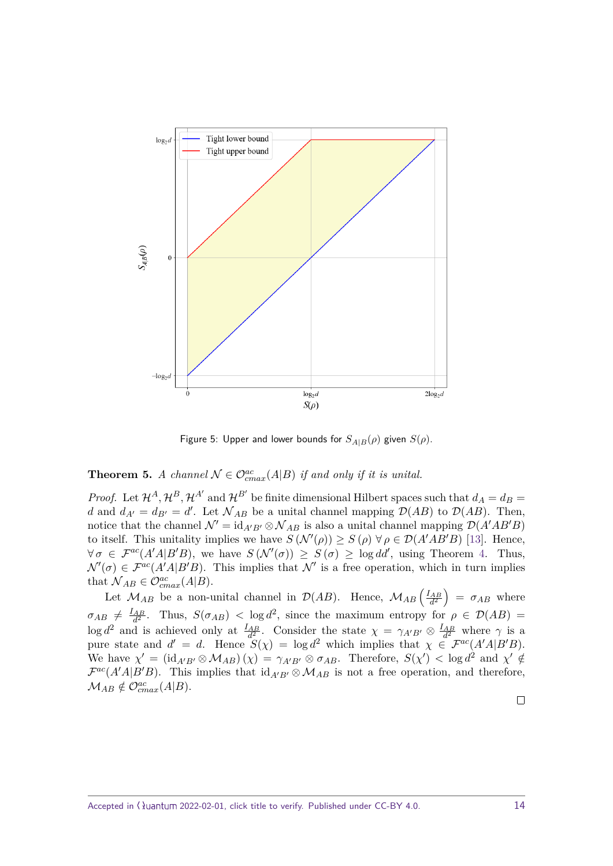<span id="page-13-0"></span>

Figure 5: Upper and lower bounds for  $S_{A|B}(\rho)$  given  $S(\rho)$ .

# **Theorem 5.** *A channel*  $\mathcal{N} \in \mathcal{O}_{cmax}^{ac}(A|B)$  *if and only if it is unital.*

*Proof.* Let  $\mathcal{H}^A$ ,  $\mathcal{H}^B$ ,  $\mathcal{H}^{A'}$  and  $\mathcal{H}^{B'}$  be finite dimensional Hilbert spaces such that  $d_A = d_B =$ *d* and  $d_{A'} = d_{B'} = d'$ . Let  $\mathcal{N}_{AB}$  be a unital channel mapping  $\mathcal{D}(AB)$  to  $\mathcal{D}(AB)$ . Then, notice that the channel  $\mathcal{N}' = id_{A'B'} \otimes \mathcal{N}_{AB}$  is also a unital channel mapping  $\mathcal{D}(A'AB'B)$ to itself. This unitality implies we have  $S(\mathcal{N}'(\rho)) \geq S(\rho) \,\forall \rho \in \mathcal{D}(A'AB'B)$  [\[13\]](#page-16-10). Hence,  $\forall \sigma \in \mathcal{F}^{ac}(A'A|B'B)$ , we have  $S(\mathcal{N}'(\sigma)) \geq S(\sigma) \geq \log dd'$ , using Theorem [4.](#page-12-1) Thus,  $\mathcal{N}'(\sigma) \in \mathcal{F}^{ac}(A'A|B'B)$ . This implies that  $\mathcal{N}'$  is a free operation, which in turn implies that  $\mathcal{N}_{AB} \in \mathcal{O}_{cmax}^{ac}(A|B)$ .

Let  $M_{AB}$  be a non-unital channel in  $\mathcal{D}(AB)$ . Hence,  $M_{AB} \left(\frac{I_{AB}}{d^2}\right) = \sigma_{AB}$  where  $\sigma_{AB} \neq \frac{I_{AB}}{d^2}$ . Thus,  $S(\sigma_{AB}) < \log d^2$ , since the maximum entropy for  $\rho \in \mathcal{D}(AB)$  $\log d^2$  and is achieved only at  $\frac{I_{AB}}{d^2}$ . Consider the state  $\chi = \gamma_{A'B'} \otimes \frac{I_{AB}}{d^2}$  where  $\gamma$  is a pure state and  $d' = d$ . Hence  $S(\chi) = \log d^2$  which implies that  $\chi \in \mathcal{F}^{ac}(A'A|B'B)$ . We have  $\chi' = (\mathrm{id}_{A'B'} \otimes \mathcal{M}_{AB})(\chi) = \gamma_{A'B'} \otimes \sigma_{AB}$ . Therefore,  $S(\chi') < \log d^2$  and  $\chi' \notin$  $\mathcal{F}^{ac}(A'A|B'B)$ . This implies that  $\mathrm{id}_{A'B'} \otimes \mathcal{M}_{AB}$  is not a free operation, and therefore,  $M_{AB} \notin \mathcal{O}_{cmax}^{ac}(A|B)$ .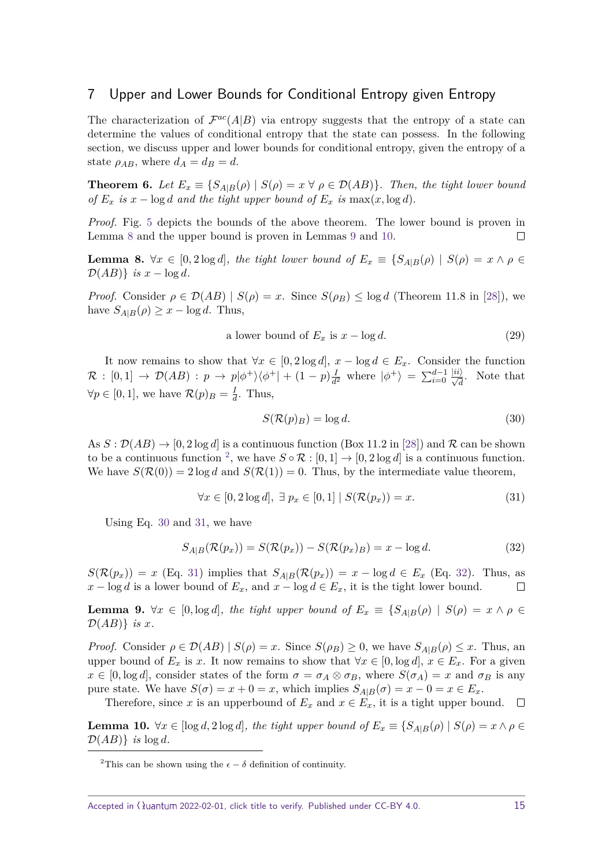# <span id="page-14-0"></span>7 Upper and Lower Bounds for Conditional Entropy given Entropy

The characterization of  $\mathcal{F}^{ac}(A|B)$  via entropy suggests that the entropy of a state can determine the values of conditional entropy that the state can possess. In the following section, we discuss upper and lower bounds for conditional entropy, given the entropy of a state  $\rho_{AB}$ , where  $d_A = d_B = d$ .

<span id="page-14-8"></span>**Theorem 6.** *Let*  $E_x \equiv \{S_{A|B}(\rho) \mid S(\rho) = x \ \forall \ \rho \in \mathcal{D}(AB)\}$ . Then, the tight lower bound *of*  $E_x$  *is*  $x - \log d$  *and the tight upper bound of*  $E_x$  *is* max $(x, \log d)$ *.* 

*Proof.* Fig. [5](#page-13-0) depicts the bounds of the above theorem. The lower bound is proven in Lemma [8](#page-14-1) and the upper bound is proven in Lemmas [9](#page-14-2) and [10.](#page-14-3)  $\Box$ 

<span id="page-14-1"></span>**Lemma 8.**  $\forall x \in [0, 2 \log d]$ , the tight lower bound of  $E_x \equiv \{S_{A|B}(\rho) \mid S(\rho) = x \land \rho \in$  $\mathcal{D}(AB)$ } *is*  $x - \log d$ *.* 

*Proof.* Consider  $\rho \in \mathcal{D}(AB) | S(\rho) = x$ . Since  $S(\rho_B) \leq \log d$  (Theorem 11.8 in [\[28\]](#page-18-0)), we have  $S_{A|B}(\rho) \geq x - \log d$ . Thus,

a lower bound of 
$$
E_x
$$
 is  $x - \log d$ . (29)

It now remains to show that  $\forall x \in [0, 2 \log d], x - \log d \in E_x$ . Consider the function  $\mathcal{R} : [0,1] \rightarrow \mathcal{D}(AB) : p \rightarrow p |\phi^+\rangle \langle \phi^+| + (1-p)\frac{D}{\phi^+}$  $\frac{I}{d^2}$  where  $|\phi^+\rangle = \sum_{i=0}^{d-1}$  $\frac{|ii\rangle}{\sqrt{d}}$ . Note that  $\forall p \in [0, 1],$  we have  $\mathcal{R}(p)_{B} = \frac{1}{q}$  $\frac{1}{d}$ . Thus,

<span id="page-14-5"></span>
$$
S(\mathcal{R}(p)_B) = \log d. \tag{30}
$$

As  $S : \mathcal{D}(AB) \to [0, 2 \log d]$  is a continuous function (Box 11.2 in [\[28\]](#page-18-0)) and R can be shown to be a continuous function <sup>[2](#page-14-4)</sup>, we have  $S \circ \mathcal{R} : [0,1] \to [0,2 \log d]$  is a continuous function. We have  $S(\mathcal{R}(0)) = 2 \log d$  and  $S(\mathcal{R}(1)) = 0$ . Thus, by the intermediate value theorem,

<span id="page-14-6"></span>
$$
\forall x \in [0, 2\log d], \exists p_x \in [0, 1] \mid S(\mathcal{R}(p_x)) = x. \tag{31}
$$

Using Eq. [30](#page-14-5) and [31,](#page-14-6) we have

<span id="page-14-7"></span>
$$
S_{A|B}(\mathcal{R}(p_x)) = S(\mathcal{R}(p_x)) - S(\mathcal{R}(p_x)_B) = x - \log d. \tag{32}
$$

 $S(\mathcal{R}(p_x)) = x$  (Eq. [31\)](#page-14-6) implies that  $S_{A|B}(\mathcal{R}(p_x)) = x - \log d \in E_x$  (Eq. [32\)](#page-14-7). Thus, as  $x - \log d$  is a lower bound of  $E_x$ , and  $x - \log d \in E_x$ , it is the tight lower bound.  $\Box$ 

<span id="page-14-2"></span>**Lemma 9.**  $\forall x \in [0, \log d]$ *, the tight upper bound of*  $E_x \equiv \{S_{A|B}(\rho) \mid S(\rho) = x \land \rho \in$  $\mathcal{D}(AB)$ *} is x.* 

*Proof.* Consider  $\rho \in \mathcal{D}(AB) | S(\rho) = x$ . Since  $S(\rho_B) \geq 0$ , we have  $S_{A|B}(\rho) \leq x$ . Thus, an upper bound of  $E_x$  is *x*. It now remains to show that  $\forall x \in [0, \log d], x \in E_x$ . For a given  $x \in [0, \log d]$ , consider states of the form  $\sigma = \sigma_A \otimes \sigma_B$ , where  $S(\sigma_A) = x$  and  $\sigma_B$  is any pure state. We have  $S(\sigma) = x + 0 = x$ , which implies  $S_{A|B}(\sigma) = x - 0 = x \in E_x$ .

Therefore, since *x* is an upperbound of  $E_x$  and  $x \in E_x$ , it is a tight upper bound.  $\Box$ 

<span id="page-14-3"></span>**Lemma 10.**  $\forall x \in [\log d, 2 \log d]$ , the tight upper bound of  $E_x \equiv \{S_{A|B}(\rho) \mid S(\rho) = x \land \rho \in \mathbb{R}\}$  $\mathcal{D}(AB)$ *} is*  $\log d$ *.* 

<span id="page-14-4"></span><sup>&</sup>lt;sup>2</sup>This can be shown using the  $\epsilon - \delta$  definition of continuity.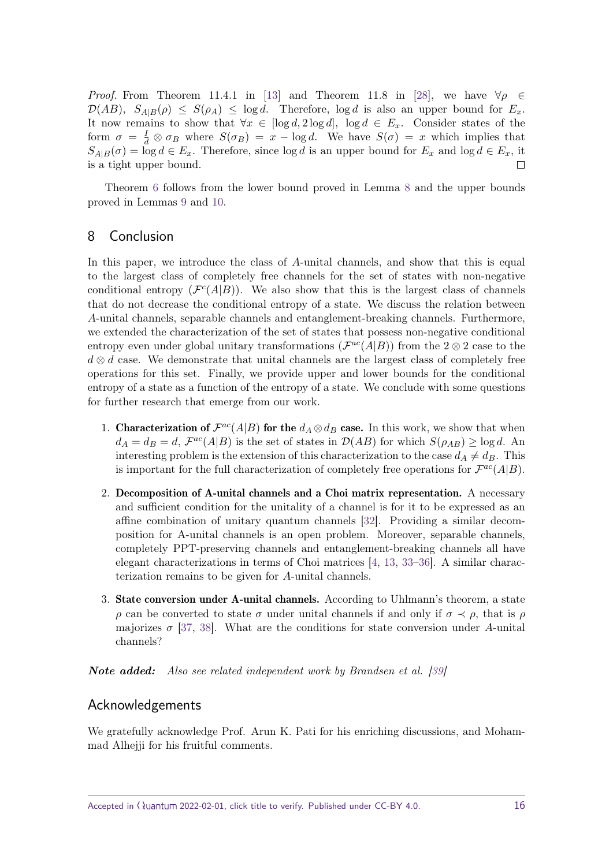*Proof.* From Theorem 11.4.1 in [\[13\]](#page-16-10) and Theorem 11.8 in [\[28\]](#page-18-0), we have  $\forall \rho \in \mathbb{R}$  $\mathcal{D}(AB)$ *,*  $S_{A|B}(\rho) \leq S(\rho_A) \leq \log d$ . Therefore,  $\log d$  is also an upper bound for  $E_x$ . It now remains to show that  $\forall x \in [\log d, 2 \log d], \log d \in E_x$ . Consider states of the form  $\sigma = \frac{I}{d} \otimes \sigma_B$  where  $S(\sigma_B) = x - \log d$ . We have  $S(\sigma) = x$  which implies that  $S_{A|B}(\sigma) = \log d \in E_x$ . Therefore, since  $\log d$  is an upper bound for  $E_x$  and  $\log d \in E_x$ , it is a tight upper bound.  $\Box$ 

Theorem [6](#page-14-8) follows from the lower bound proved in Lemma [8](#page-14-1) and the upper bounds proved in Lemmas [9](#page-14-2) and [10.](#page-14-3)

# <span id="page-15-0"></span>8 Conclusion

In this paper, we introduce the class of *A*-unital channels, and show that this is equal to the largest class of completely free channels for the set of states with non-negative conditional entropy  $(\mathcal{F}^c(A|B))$ . We also show that this is the largest class of channels that do not decrease the conditional entropy of a state. We discuss the relation between *A*-unital channels, separable channels and entanglement-breaking channels. Furthermore, we extended the characterization of the set of states that possess non-negative conditional entropy even under global unitary transformations  $(\mathcal{F}^{ac}(A|B))$  from the 2  $\otimes$  2 case to the *d* ⊗ *d* case. We demonstrate that unital channels are the largest class of completely free operations for this set. Finally, we provide upper and lower bounds for the conditional entropy of a state as a function of the entropy of a state. We conclude with some questions for further research that emerge from our work.

- 1. Characterization of  $\mathcal{F}^{ac}(A|B)$  for the  $d_A \otimes d_B$  case. In this work, we show that when  $d_A = d_B = d$ ,  $\mathcal{F}^{ac}(A|B)$  is the set of states in  $\mathcal{D}(AB)$  for which  $S(\rho_{AB}) \ge \log d$ . An interesting problem is the extension of this characterization to the case  $d_A \neq d_B$ . This is important for the full characterization of completely free operations for  $\mathcal{F}^{ac}(A|B)$ .
- 2. Decomposition of A-unital channels and a Choi matrix representation. A necessary and sufficient condition for the unitality of a channel is for it to be expressed as an affine combination of unitary quantum channels [\[32\]](#page-18-4). Providing a similar decomposition for A-unital channels is an open problem. Moreover, separable channels, completely PPT-preserving channels and entanglement-breaking channels all have elegant characterizations in terms of Choi matrices [\[4,](#page-16-3) [13,](#page-16-10) [33–](#page-18-5)[36\]](#page-18-6). A similar characterization remains to be given for *A*-unital channels.
- 3. State conversion under A-unital channels. According to Uhlmann's theorem, a state *ρ* can be converted to state *σ* under unital channels if and only if  $\sigma \prec \rho$ , that is *ρ* majorizes  $\sigma$  [\[37,](#page-18-7) [38\]](#page-18-8). What are the conditions for state conversion under *A*-unital channels?

*Note added:* Also see related independent work by Brandsen et al. [\[39\]](#page-18-9)

# Acknowledgements

We gratefully acknowledge Prof. Arun K. Pati for his enriching discussions, and Mohammad Alhejji for his fruitful comments.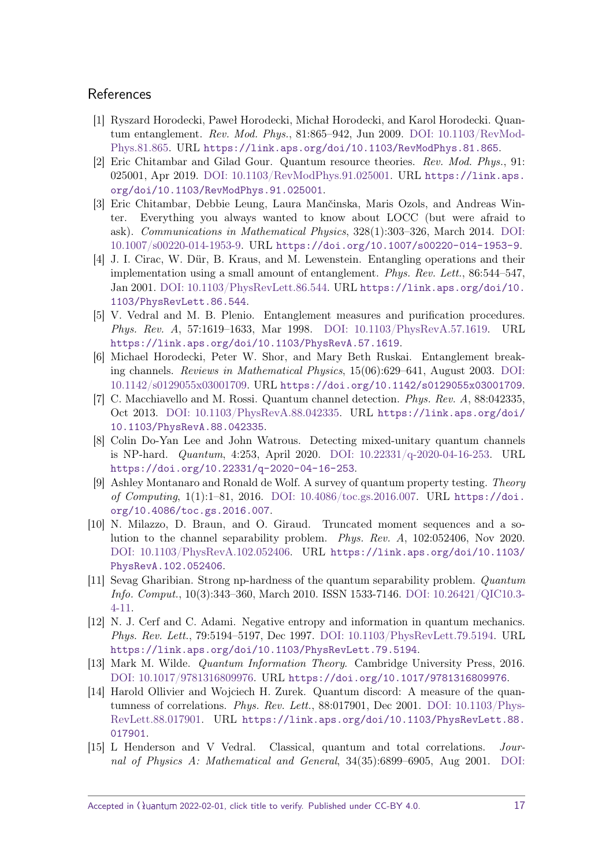# **References**

- <span id="page-16-0"></span>[1] Ryszard Horodecki, Paweł Horodecki, Michał Horodecki, and Karol Horodecki. Quantum entanglement. Rev. Mod. Phys., 81:865–942, Jun 2009. [DOI: 10.1103/RevMod-](https://doi.org/10.1103/RevModPhys.81.865)[Phys.81.865.](https://doi.org/10.1103/RevModPhys.81.865) URL <https://link.aps.org/doi/10.1103/RevModPhys.81.865>.
- <span id="page-16-1"></span>[2] Eric Chitambar and Gilad Gour. Quantum resource theories. Rev. Mod. Phys., 91: 025001, Apr 2019. [DOI: 10.1103/RevModPhys.91.025001.](https://doi.org/10.1103/RevModPhys.91.025001) URL [https://link.aps.](https://link.aps.org/doi/10.1103/RevModPhys.91.025001) [org/doi/10.1103/RevModPhys.91.025001](https://link.aps.org/doi/10.1103/RevModPhys.91.025001).
- <span id="page-16-2"></span>[3] Eric Chitambar, Debbie Leung, Laura Mančinska, Maris Ozols, and Andreas Winter. Everything you always wanted to know about LOCC (but were afraid to ask). Communications in Mathematical Physics, 328(1):303–326, March 2014. [DOI:](https://doi.org/10.1007/s00220-014-1953-9) [10.1007/s00220-014-1953-9.](https://doi.org/10.1007/s00220-014-1953-9) URL <https://doi.org/10.1007/s00220-014-1953-9>.
- <span id="page-16-3"></span>[4] J. I. Cirac, W. Dür, B. Kraus, and M. Lewenstein. Entangling operations and their implementation using a small amount of entanglement. Phys. Rev. Lett., 86:544–547, Jan 2001. [DOI: 10.1103/PhysRevLett.86.544.](https://doi.org/10.1103/PhysRevLett.86.544) URL [https://link.aps.org/doi/10.](https://link.aps.org/doi/10.1103/PhysRevLett.86.544) [1103/PhysRevLett.86.544](https://link.aps.org/doi/10.1103/PhysRevLett.86.544).
- <span id="page-16-4"></span>[5] V. Vedral and M. B. Plenio. Entanglement measures and purification procedures. Phys. Rev. A, 57:1619–1633, Mar 1998. [DOI: 10.1103/PhysRevA.57.1619.](https://doi.org/10.1103/PhysRevA.57.1619) URL <https://link.aps.org/doi/10.1103/PhysRevA.57.1619>.
- <span id="page-16-5"></span>[6] Michael Horodecki, Peter W. Shor, and Mary Beth Ruskai. Entanglement breaking channels. Reviews in Mathematical Physics, 15(06):629–641, August 2003. [DOI:](https://doi.org/10.1142/s0129055x03001709) [10.1142/s0129055x03001709.](https://doi.org/10.1142/s0129055x03001709) URL <https://doi.org/10.1142/s0129055x03001709>.
- <span id="page-16-6"></span>[7] C. Macchiavello and M. Rossi. Quantum channel detection. Phys. Rev. A, 88:042335, Oct 2013. [DOI: 10.1103/PhysRevA.88.042335.](https://doi.org/10.1103/PhysRevA.88.042335) URL [https://link.aps.org/doi/](https://link.aps.org/doi/10.1103/PhysRevA.88.042335) [10.1103/PhysRevA.88.042335](https://link.aps.org/doi/10.1103/PhysRevA.88.042335).
- [8] Colin Do-Yan Lee and John Watrous. Detecting mixed-unitary quantum channels is NP-hard. Quantum, 4:253, April 2020. [DOI: 10.22331/q-2020-04-16-253.](https://doi.org/10.22331/q-2020-04-16-253) URL <https://doi.org/10.22331/q-2020-04-16-253>.
- [9] Ashley Montanaro and Ronald de Wolf. A survey of quantum property testing. Theory of Computing, 1(1):1–81, 2016. [DOI: 10.4086/toc.gs.2016.007.](https://doi.org/10.4086/toc.gs.2016.007) URL [https://doi.](https://doi.org/10.4086/toc.gs.2016.007) [org/10.4086/toc.gs.2016.007](https://doi.org/10.4086/toc.gs.2016.007).
- <span id="page-16-7"></span>[10] N. Milazzo, D. Braun, and O. Giraud. Truncated moment sequences and a solution to the channel separability problem. Phys. Rev. A, 102:052406, Nov 2020. [DOI: 10.1103/PhysRevA.102.052406.](https://doi.org/10.1103/PhysRevA.102.052406) URL [https://link.aps.org/doi/10.1103/](https://link.aps.org/doi/10.1103/PhysRevA.102.052406) [PhysRevA.102.052406](https://link.aps.org/doi/10.1103/PhysRevA.102.052406).
- <span id="page-16-8"></span>[11] Sevag Gharibian. Strong np-hardness of the quantum separability problem. Quantum Info. Comput., 10(3):343–360, March 2010. ISSN 1533-7146. [DOI: 10.26421/QIC10.3-](https://doi.org/10.26421/QIC10.3-4-11) [4-11.](https://doi.org/10.26421/QIC10.3-4-11)
- <span id="page-16-9"></span>[12] N. J. Cerf and C. Adami. Negative entropy and information in quantum mechanics. Phys. Rev. Lett., 79:5194–5197, Dec 1997. [DOI: 10.1103/PhysRevLett.79.5194.](https://doi.org/10.1103/PhysRevLett.79.5194) URL <https://link.aps.org/doi/10.1103/PhysRevLett.79.5194>.
- <span id="page-16-10"></span>[13] Mark M. Wilde. Quantum Information Theory. Cambridge University Press, 2016. [DOI: 10.1017/9781316809976.](https://doi.org/10.1017/9781316809976) URL <https://doi.org/10.1017/9781316809976>.
- <span id="page-16-11"></span>[14] Harold Ollivier and Wojciech H. Zurek. Quantum discord: A measure of the quantumness of correlations. Phys. Rev. Lett., 88:017901, Dec 2001. [DOI: 10.1103/Phys-](https://doi.org/10.1103/PhysRevLett.88.017901)[RevLett.88.017901.](https://doi.org/10.1103/PhysRevLett.88.017901) URL [https://link.aps.org/doi/10.1103/PhysRevLett.88.](https://link.aps.org/doi/10.1103/PhysRevLett.88.017901) [017901](https://link.aps.org/doi/10.1103/PhysRevLett.88.017901).
- [15] L Henderson and V Vedral. Classical, quantum and total correlations. Journal of Physics A: Mathematical and General, 34(35):6899–6905, Aug 2001. [DOI:](https://doi.org/10.1088/0305-4470/34/35/315)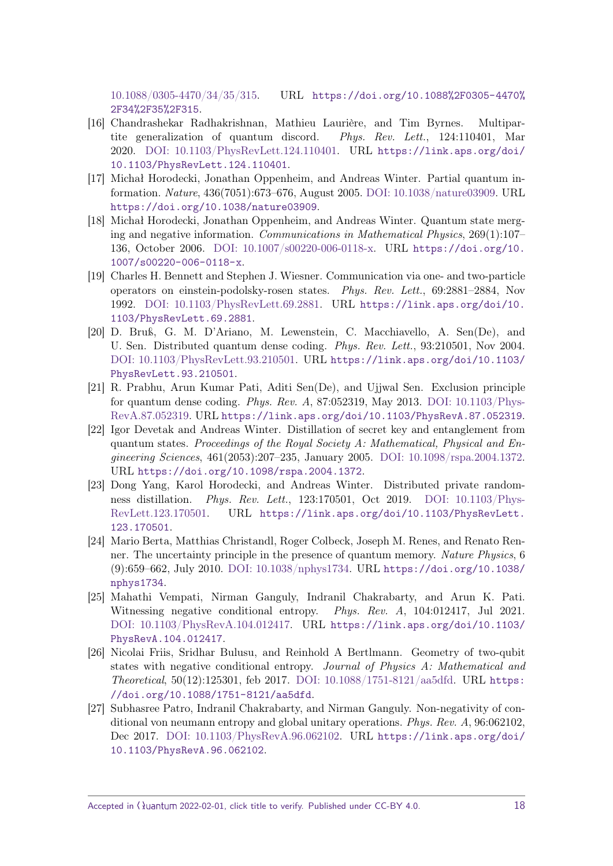[10.1088/0305-4470/34/35/315.](https://doi.org/10.1088/0305-4470/34/35/315) URL [https://doi.org/10.1088%2F0305-4470%](https://doi.org/10.1088%2F0305-4470%2F34%2F35%2F315) [2F34%2F35%2F315](https://doi.org/10.1088%2F0305-4470%2F34%2F35%2F315).

- <span id="page-17-0"></span>[16] Chandrashekar Radhakrishnan, Mathieu Laurière, and Tim Byrnes. Multipartite generalization of quantum discord. Phys. Rev. Lett., 124:110401, Mar 2020. [DOI: 10.1103/PhysRevLett.124.110401.](https://doi.org/10.1103/PhysRevLett.124.110401) URL [https://link.aps.org/doi/](https://link.aps.org/doi/10.1103/PhysRevLett.124.110401) [10.1103/PhysRevLett.124.110401](https://link.aps.org/doi/10.1103/PhysRevLett.124.110401).
- <span id="page-17-1"></span>[17] Michał Horodecki, Jonathan Oppenheim, and Andreas Winter. Partial quantum information. Nature, 436(7051):673–676, August 2005. [DOI: 10.1038/nature03909.](https://doi.org/10.1038/nature03909) URL <https://doi.org/10.1038/nature03909>.
- <span id="page-17-2"></span>[18] Michał Horodecki, Jonathan Oppenheim, and Andreas Winter. Quantum state merging and negative information. Communications in Mathematical Physics, 269(1):107– 136, October 2006. [DOI: 10.1007/s00220-006-0118-x.](https://doi.org/10.1007/s00220-006-0118-x) URL [https://doi.org/10.](https://doi.org/10.1007/s00220-006-0118-x) [1007/s00220-006-0118-x](https://doi.org/10.1007/s00220-006-0118-x).
- <span id="page-17-3"></span>[19] Charles H. Bennett and Stephen J. Wiesner. Communication via one- and two-particle operators on einstein-podolsky-rosen states. Phys. Rev. Lett., 69:2881–2884, Nov 1992. [DOI: 10.1103/PhysRevLett.69.2881.](https://doi.org/10.1103/PhysRevLett.69.2881) URL [https://link.aps.org/doi/10.](https://link.aps.org/doi/10.1103/PhysRevLett.69.2881) [1103/PhysRevLett.69.2881](https://link.aps.org/doi/10.1103/PhysRevLett.69.2881).
- [20] D. Bruß, G. M. D'Ariano, M. Lewenstein, C. Macchiavello, A. Sen(De), and U. Sen. Distributed quantum dense coding. Phys. Rev. Lett., 93:210501, Nov 2004. [DOI: 10.1103/PhysRevLett.93.210501.](https://doi.org/10.1103/PhysRevLett.93.210501) URL [https://link.aps.org/doi/10.1103/](https://link.aps.org/doi/10.1103/PhysRevLett.93.210501) [PhysRevLett.93.210501](https://link.aps.org/doi/10.1103/PhysRevLett.93.210501).
- <span id="page-17-4"></span>[21] R. Prabhu, Arun Kumar Pati, Aditi Sen(De), and Ujjwal Sen. Exclusion principle for quantum dense coding. Phys. Rev. A, 87:052319, May 2013. [DOI: 10.1103/Phys-](https://doi.org/10.1103/PhysRevA.87.052319)[RevA.87.052319.](https://doi.org/10.1103/PhysRevA.87.052319) URL <https://link.aps.org/doi/10.1103/PhysRevA.87.052319>.
- <span id="page-17-5"></span>[22] Igor Devetak and Andreas Winter. Distillation of secret key and entanglement from quantum states. Proceedings of the Royal Society  $A: Mathematical$ , Physical and Engineering Sciences, 461(2053):207–235, January 2005. [DOI: 10.1098/rspa.2004.1372.](https://doi.org/10.1098/rspa.2004.1372) URL <https://doi.org/10.1098/rspa.2004.1372>.
- <span id="page-17-6"></span>[23] Dong Yang, Karol Horodecki, and Andreas Winter. Distributed private randomness distillation. Phys. Rev. Lett., 123:170501, Oct 2019. [DOI: 10.1103/Phys-](https://doi.org/10.1103/PhysRevLett.123.170501)[RevLett.123.170501.](https://doi.org/10.1103/PhysRevLett.123.170501) URL [https://link.aps.org/doi/10.1103/PhysRevLett.](https://link.aps.org/doi/10.1103/PhysRevLett.123.170501) [123.170501](https://link.aps.org/doi/10.1103/PhysRevLett.123.170501).
- <span id="page-17-7"></span>[24] Mario Berta, Matthias Christandl, Roger Colbeck, Joseph M. Renes, and Renato Renner. The uncertainty principle in the presence of quantum memory. Nature Physics, 6 (9):659–662, July 2010. [DOI: 10.1038/nphys1734.](https://doi.org/10.1038/nphys1734) URL [https://doi.org/10.1038/](https://doi.org/10.1038/nphys1734) [nphys1734](https://doi.org/10.1038/nphys1734).
- <span id="page-17-8"></span>[25] Mahathi Vempati, Nirman Ganguly, Indranil Chakrabarty, and Arun K. Pati. Witnessing negative conditional entropy. Phys. Rev. A, 104:012417, Jul 2021. [DOI: 10.1103/PhysRevA.104.012417.](https://doi.org/10.1103/PhysRevA.104.012417) URL [https://link.aps.org/doi/10.1103/](https://link.aps.org/doi/10.1103/PhysRevA.104.012417) [PhysRevA.104.012417](https://link.aps.org/doi/10.1103/PhysRevA.104.012417).
- <span id="page-17-9"></span>[26] Nicolai Friis, Sridhar Bulusu, and Reinhold A Bertlmann. Geometry of two-qubit states with negative conditional entropy. Journal of Physics A: Mathematical and Theoretical, 50(12):125301, feb 2017. [DOI: 10.1088/1751-8121/aa5dfd.](https://doi.org/10.1088/1751-8121/aa5dfd) URL [https:](https://doi.org/10.1088/1751-8121/aa5dfd) [//doi.org/10.1088/1751-8121/aa5dfd](https://doi.org/10.1088/1751-8121/aa5dfd).
- <span id="page-17-10"></span>[27] Subhasree Patro, Indranil Chakrabarty, and Nirman Ganguly. Non-negativity of conditional von neumann entropy and global unitary operations. Phys. Rev. A, 96:062102, Dec 2017. [DOI: 10.1103/PhysRevA.96.062102.](https://doi.org/10.1103/PhysRevA.96.062102) URL [https://link.aps.org/doi/](https://link.aps.org/doi/10.1103/PhysRevA.96.062102) [10.1103/PhysRevA.96.062102](https://link.aps.org/doi/10.1103/PhysRevA.96.062102).